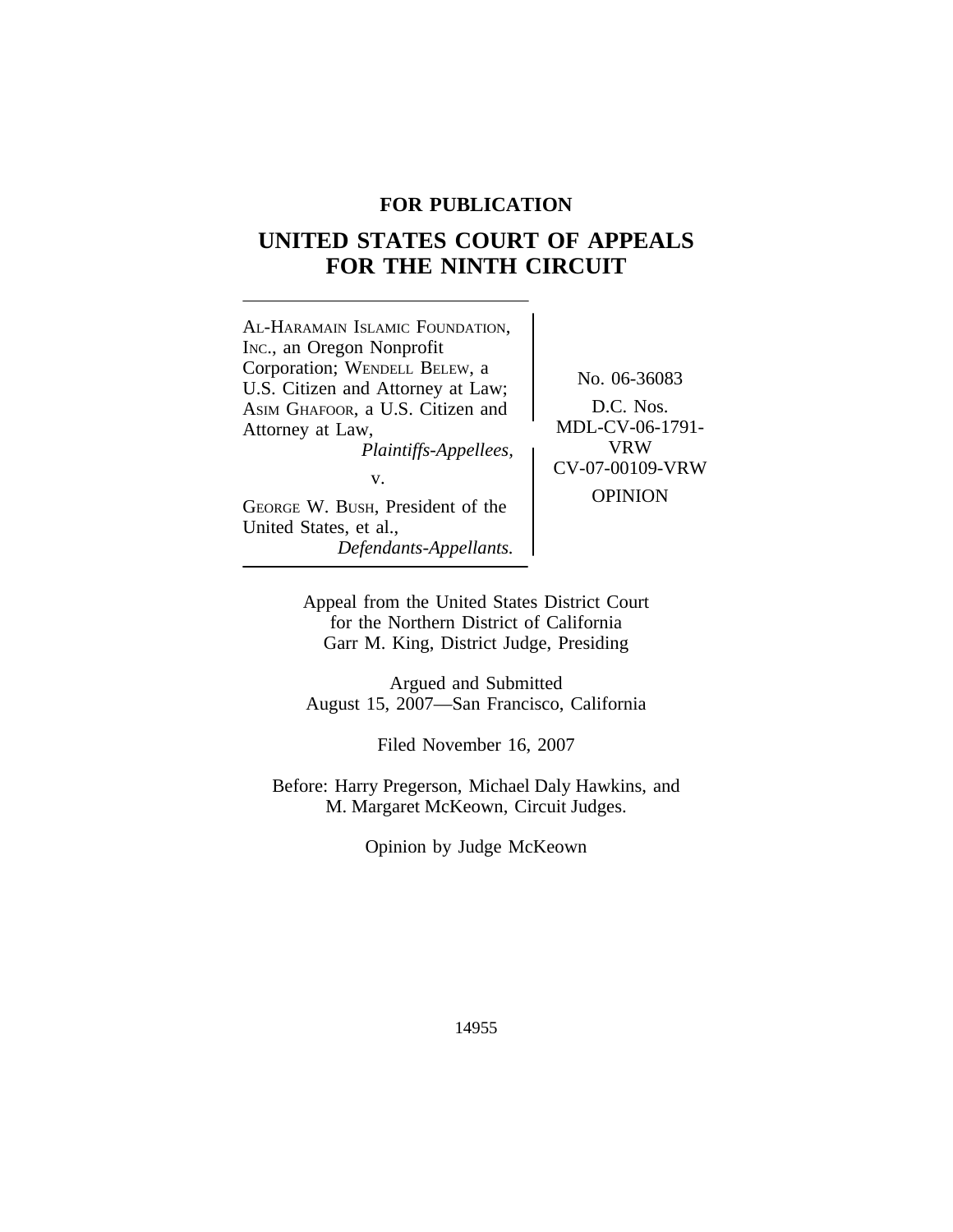# **FOR PUBLICATION**

# **UNITED STATES COURT OF APPEALS FOR THE NINTH CIRCUIT**



Appeal from the United States District Court for the Northern District of California Garr M. King, District Judge, Presiding

Argued and Submitted August 15, 2007—San Francisco, California

Filed November 16, 2007

Before: Harry Pregerson, Michael Daly Hawkins, and M. Margaret McKeown, Circuit Judges.

Opinion by Judge McKeown

14955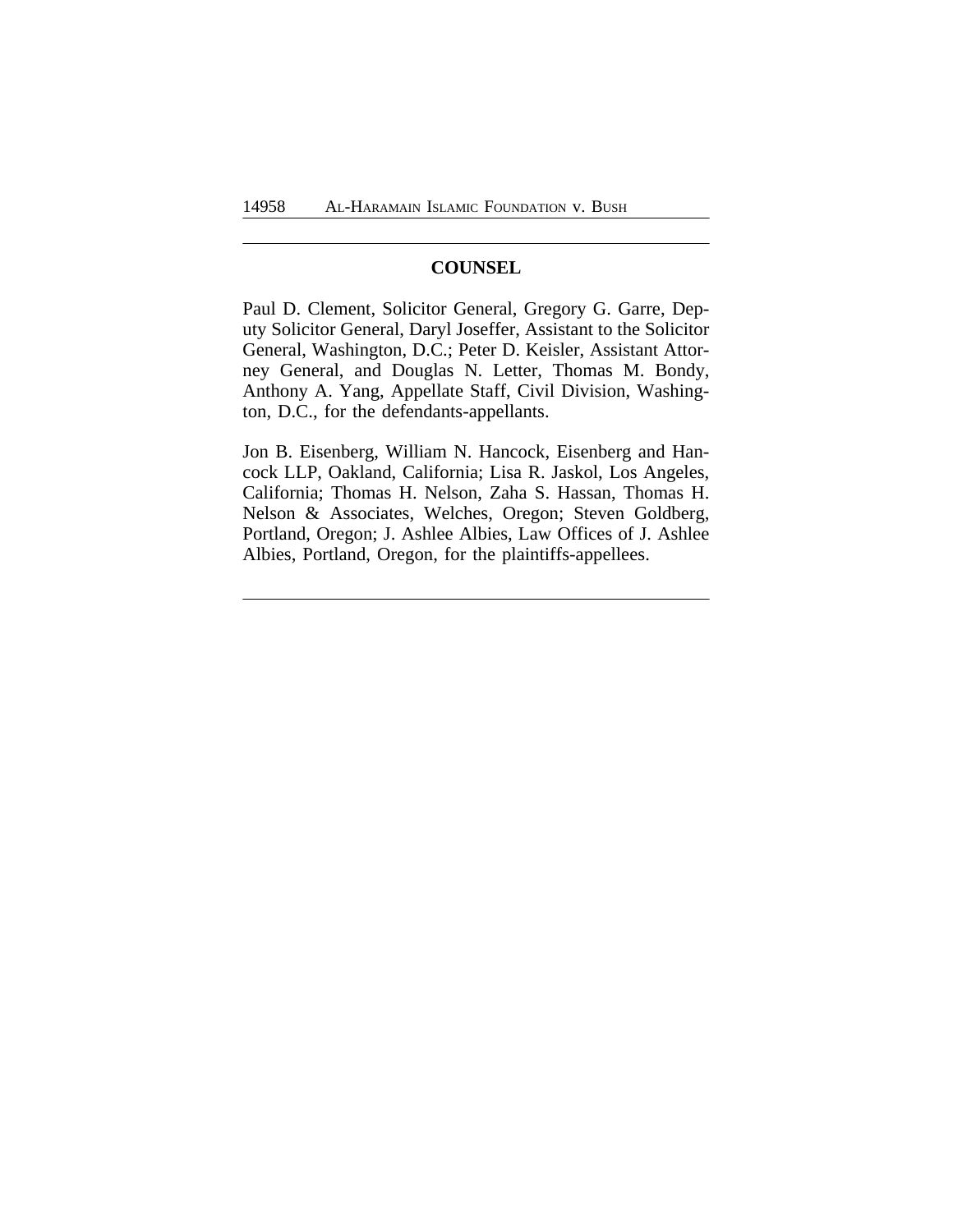### **COUNSEL**

Paul D. Clement, Solicitor General, Gregory G. Garre, Deputy Solicitor General, Daryl Joseffer, Assistant to the Solicitor General, Washington, D.C.; Peter D. Keisler, Assistant Attorney General, and Douglas N. Letter, Thomas M. Bondy, Anthony A. Yang, Appellate Staff, Civil Division, Washington, D.C., for the defendants-appellants.

Jon B. Eisenberg, William N. Hancock, Eisenberg and Hancock LLP, Oakland, California; Lisa R. Jaskol, Los Angeles, California; Thomas H. Nelson, Zaha S. Hassan, Thomas H. Nelson & Associates, Welches, Oregon; Steven Goldberg, Portland, Oregon; J. Ashlee Albies, Law Offices of J. Ashlee Albies, Portland, Oregon, for the plaintiffs-appellees.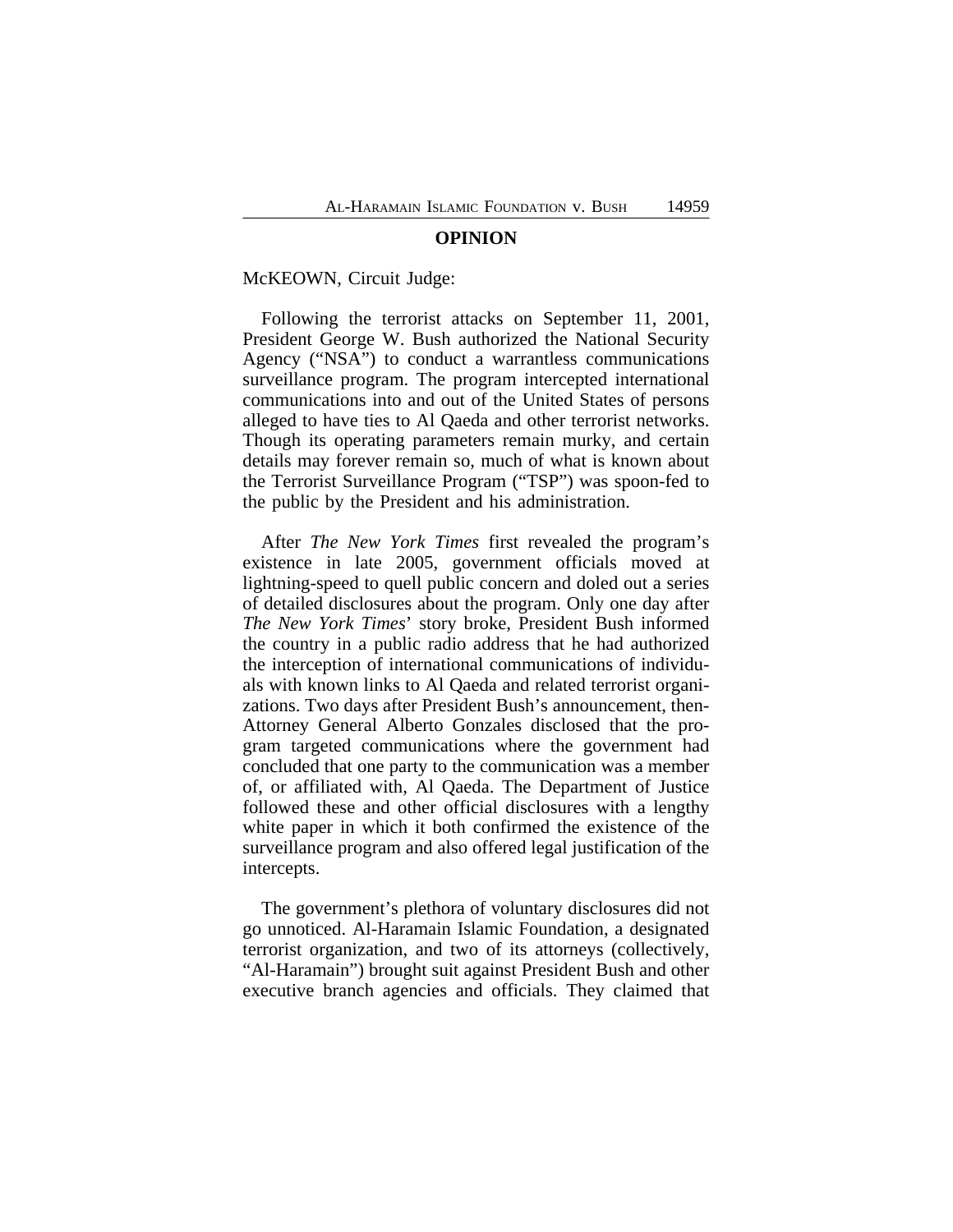#### **OPINION**

#### McKEOWN, Circuit Judge:

Following the terrorist attacks on September 11, 2001, President George W. Bush authorized the National Security Agency ("NSA") to conduct a warrantless communications surveillance program. The program intercepted international communications into and out of the United States of persons alleged to have ties to Al Qaeda and other terrorist networks. Though its operating parameters remain murky, and certain details may forever remain so, much of what is known about the Terrorist Surveillance Program ("TSP") was spoon-fed to the public by the President and his administration.

After *The New York Times* first revealed the program's existence in late 2005, government officials moved at lightning-speed to quell public concern and doled out a series of detailed disclosures about the program. Only one day after *The New York Times*' story broke, President Bush informed the country in a public radio address that he had authorized the interception of international communications of individuals with known links to Al Qaeda and related terrorist organizations. Two days after President Bush's announcement, then-Attorney General Alberto Gonzales disclosed that the program targeted communications where the government had concluded that one party to the communication was a member of, or affiliated with, Al Qaeda. The Department of Justice followed these and other official disclosures with a lengthy white paper in which it both confirmed the existence of the surveillance program and also offered legal justification of the intercepts.

The government's plethora of voluntary disclosures did not go unnoticed. Al-Haramain Islamic Foundation, a designated terrorist organization, and two of its attorneys (collectively, "Al-Haramain") brought suit against President Bush and other executive branch agencies and officials. They claimed that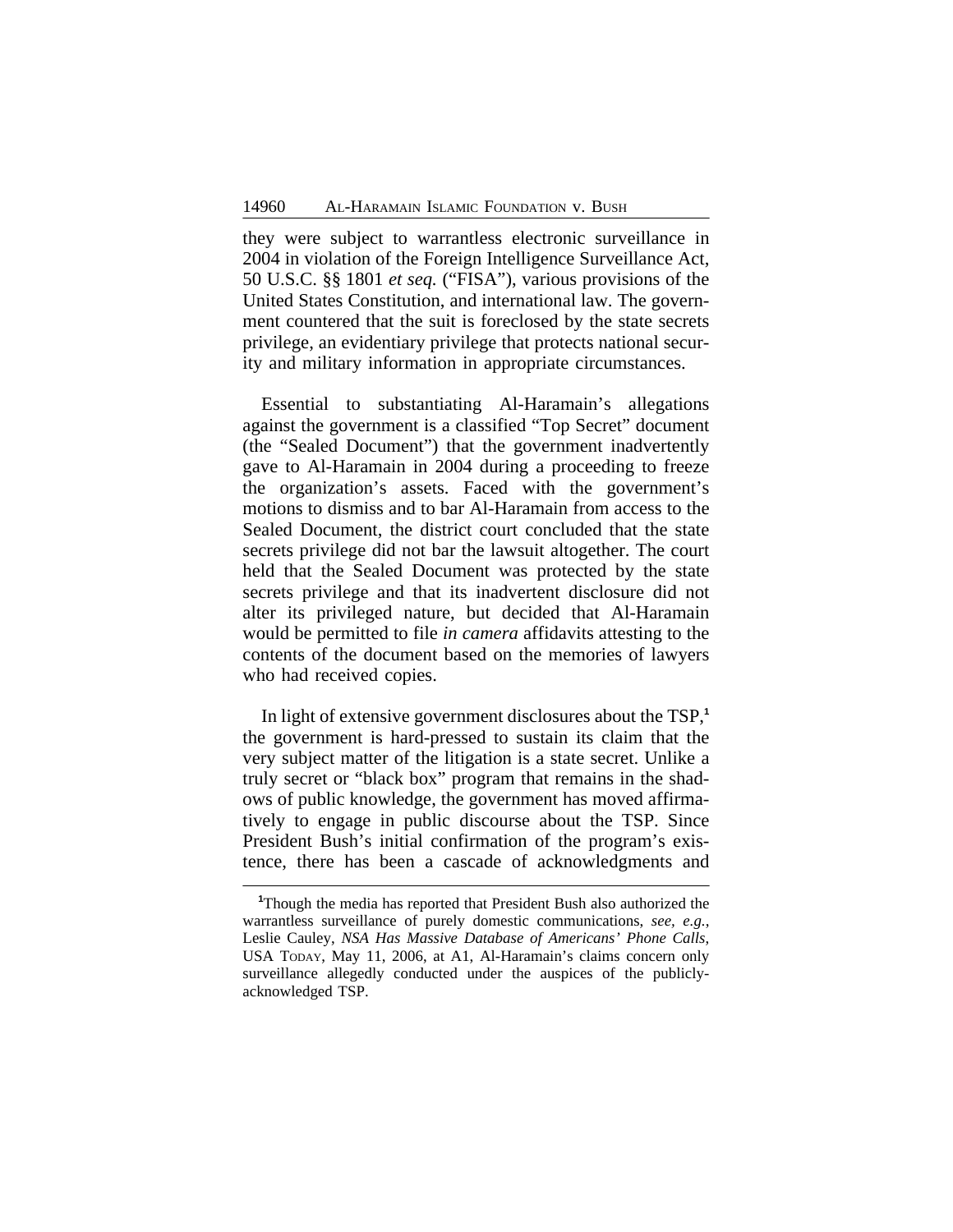they were subject to warrantless electronic surveillance in 2004 in violation of the Foreign Intelligence Surveillance Act, 50 U.S.C. §§ 1801 *et seq.* ("FISA"), various provisions of the United States Constitution, and international law. The government countered that the suit is foreclosed by the state secrets privilege, an evidentiary privilege that protects national security and military information in appropriate circumstances.

Essential to substantiating Al-Haramain's allegations against the government is a classified "Top Secret" document (the "Sealed Document") that the government inadvertently gave to Al-Haramain in 2004 during a proceeding to freeze the organization's assets. Faced with the government's motions to dismiss and to bar Al-Haramain from access to the Sealed Document, the district court concluded that the state secrets privilege did not bar the lawsuit altogether. The court held that the Sealed Document was protected by the state secrets privilege and that its inadvertent disclosure did not alter its privileged nature, but decided that Al-Haramain would be permitted to file *in camera* affidavits attesting to the contents of the document based on the memories of lawyers who had received copies.

In light of extensive government disclosures about the TSP,**<sup>1</sup>** the government is hard-pressed to sustain its claim that the very subject matter of the litigation is a state secret. Unlike a truly secret or "black box" program that remains in the shadows of public knowledge, the government has moved affirmatively to engage in public discourse about the TSP. Since President Bush's initial confirmation of the program's existence, there has been a cascade of acknowledgments and

**<sup>1</sup>**Though the media has reported that President Bush also authorized the warrantless surveillance of purely domestic communications, *see, e.g.*, Leslie Cauley, *NSA Has Massive Database of Americans' Phone Calls*, USA TODAY, May 11, 2006, at A1, Al-Haramain's claims concern only surveillance allegedly conducted under the auspices of the publiclyacknowledged TSP.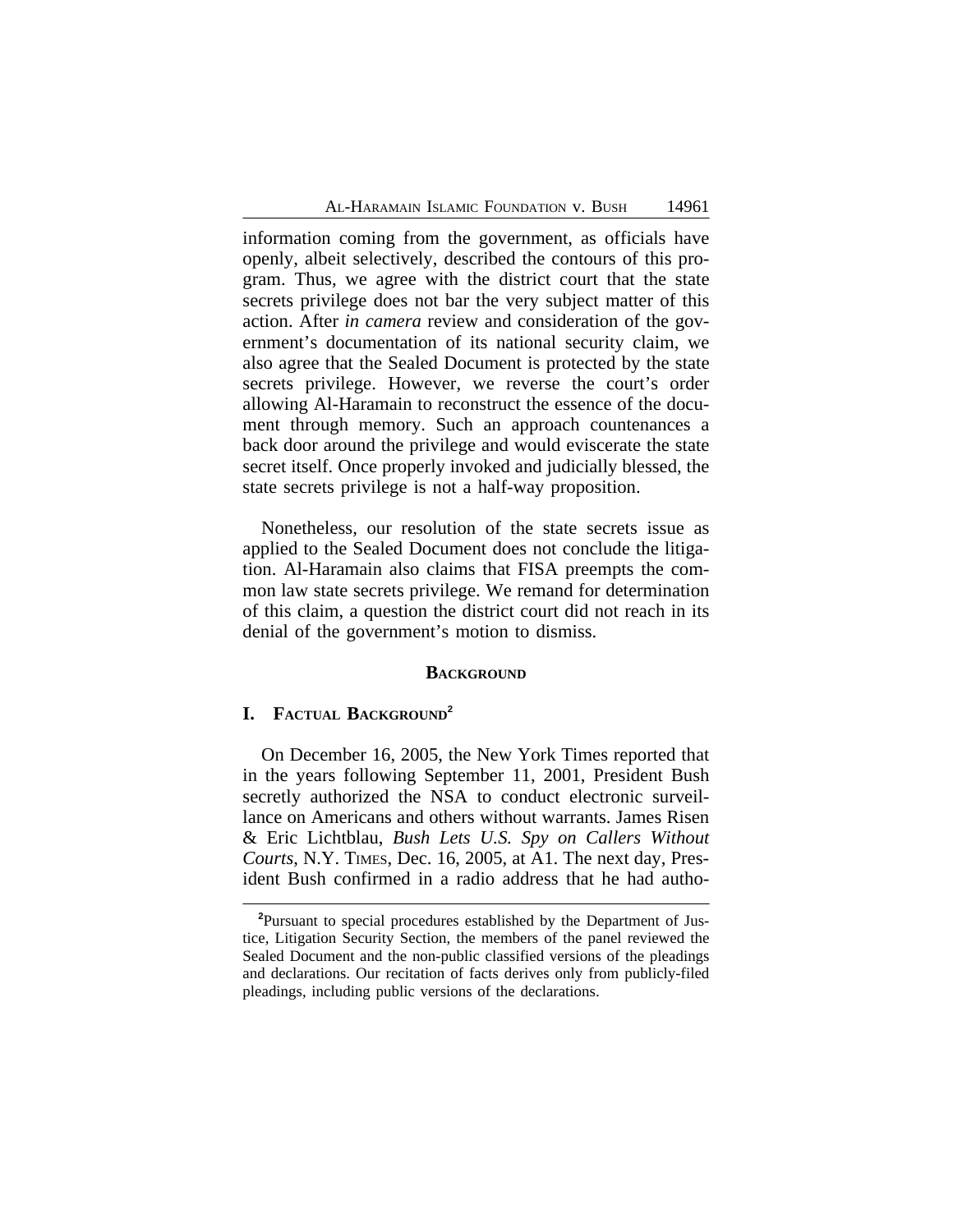information coming from the government, as officials have openly, albeit selectively, described the contours of this program. Thus, we agree with the district court that the state secrets privilege does not bar the very subject matter of this action. After *in camera* review and consideration of the government's documentation of its national security claim, we also agree that the Sealed Document is protected by the state secrets privilege. However, we reverse the court's order allowing Al-Haramain to reconstruct the essence of the document through memory. Such an approach countenances a back door around the privilege and would eviscerate the state secret itself. Once properly invoked and judicially blessed, the state secrets privilege is not a half-way proposition.

Nonetheless, our resolution of the state secrets issue as applied to the Sealed Document does not conclude the litigation. Al-Haramain also claims that FISA preempts the common law state secrets privilege. We remand for determination of this claim, a question the district court did not reach in its denial of the government's motion to dismiss.

#### **BACKGROUND**

#### **I. FACTUAL BACKGROUND<sup>2</sup>**

On December 16, 2005, the New York Times reported that in the years following September 11, 2001, President Bush secretly authorized the NSA to conduct electronic surveillance on Americans and others without warrants. James Risen & Eric Lichtblau, *Bush Lets U.S. Spy on Callers Without Courts*, N.Y. TIMES, Dec. 16, 2005, at A1. The next day, President Bush confirmed in a radio address that he had autho-

**<sup>2</sup>**Pursuant to special procedures established by the Department of Justice, Litigation Security Section, the members of the panel reviewed the Sealed Document and the non-public classified versions of the pleadings and declarations. Our recitation of facts derives only from publicly-filed pleadings, including public versions of the declarations.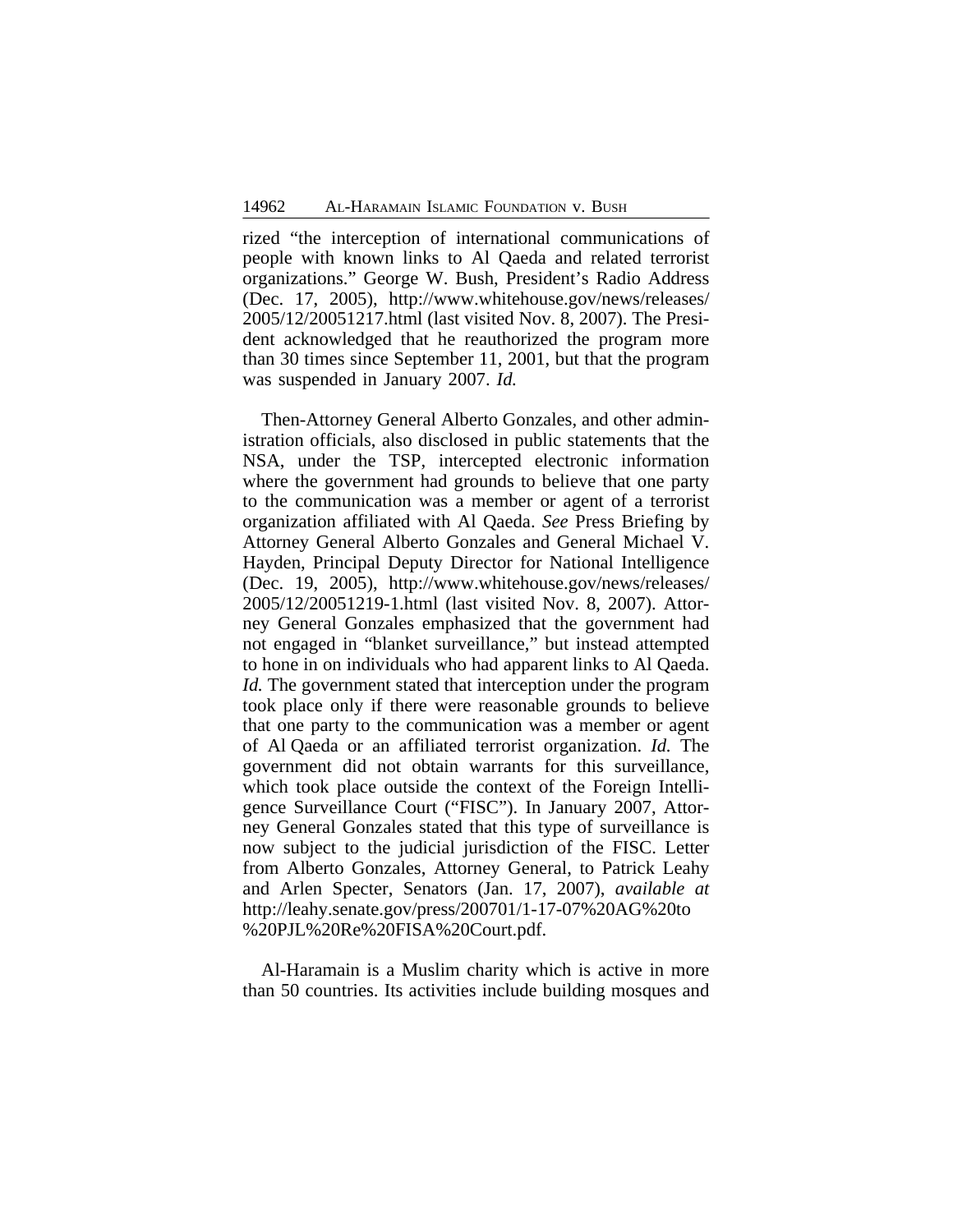rized "the interception of international communications of people with known links to Al Qaeda and related terrorist organizations." George W. Bush, President's Radio Address (Dec. 17, 2005), http://www.whitehouse.gov/news/releases/ 2005/12/20051217.html (last visited Nov. 8, 2007). The President acknowledged that he reauthorized the program more than 30 times since September 11, 2001, but that the program was suspended in January 2007. *Id.*

Then-Attorney General Alberto Gonzales, and other administration officials, also disclosed in public statements that the NSA, under the TSP, intercepted electronic information where the government had grounds to believe that one party to the communication was a member or agent of a terrorist organization affiliated with Al Qaeda. *See* Press Briefing by Attorney General Alberto Gonzales and General Michael V. Hayden, Principal Deputy Director for National Intelligence (Dec. 19, 2005), http://www.whitehouse.gov/news/releases/ 2005/12/20051219-1.html (last visited Nov. 8, 2007). Attorney General Gonzales emphasized that the government had not engaged in "blanket surveillance," but instead attempted to hone in on individuals who had apparent links to Al Qaeda. *Id.* The government stated that interception under the program took place only if there were reasonable grounds to believe that one party to the communication was a member or agent of Al Qaeda or an affiliated terrorist organization. *Id.* The government did not obtain warrants for this surveillance, which took place outside the context of the Foreign Intelligence Surveillance Court ("FISC"). In January 2007, Attorney General Gonzales stated that this type of surveillance is now subject to the judicial jurisdiction of the FISC. Letter from Alberto Gonzales, Attorney General, to Patrick Leahy and Arlen Specter, Senators (Jan. 17, 2007), *available at* http://leahy.senate.gov/press/200701/1-17-07%20AG%20to %20PJL%20Re%20FISA%20Court.pdf.

Al-Haramain is a Muslim charity which is active in more than 50 countries. Its activities include building mosques and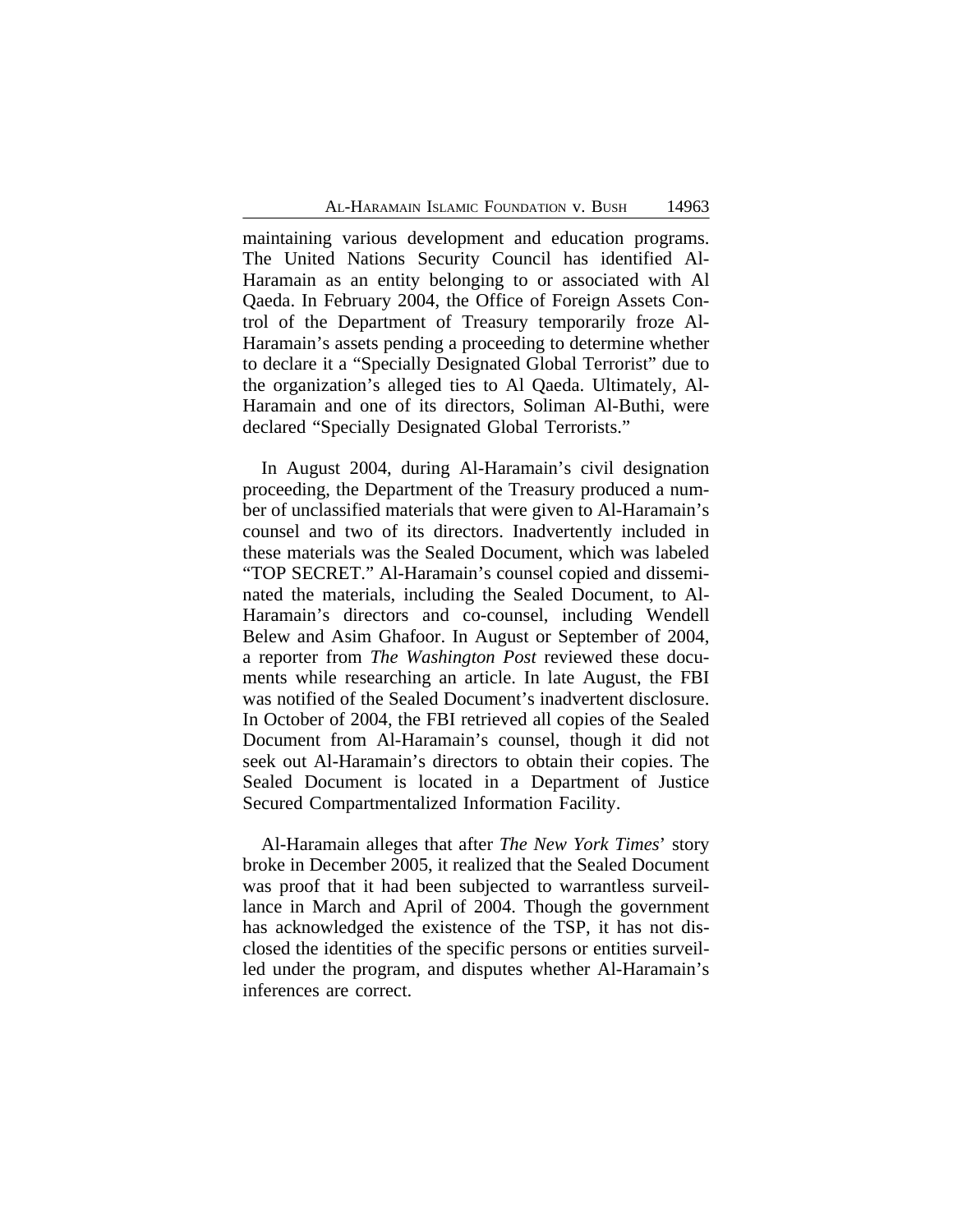maintaining various development and education programs. The United Nations Security Council has identified Al-Haramain as an entity belonging to or associated with Al Qaeda. In February 2004, the Office of Foreign Assets Control of the Department of Treasury temporarily froze Al-Haramain's assets pending a proceeding to determine whether to declare it a "Specially Designated Global Terrorist" due to the organization's alleged ties to Al Qaeda. Ultimately, Al-Haramain and one of its directors, Soliman Al-Buthi, were declared "Specially Designated Global Terrorists."

In August 2004, during Al-Haramain's civil designation proceeding, the Department of the Treasury produced a number of unclassified materials that were given to Al-Haramain's counsel and two of its directors. Inadvertently included in these materials was the Sealed Document, which was labeled "TOP SECRET." Al-Haramain's counsel copied and disseminated the materials, including the Sealed Document, to Al-Haramain's directors and co-counsel, including Wendell Belew and Asim Ghafoor. In August or September of 2004, a reporter from *The Washington Post* reviewed these documents while researching an article. In late August, the FBI was notified of the Sealed Document's inadvertent disclosure. In October of 2004, the FBI retrieved all copies of the Sealed Document from Al-Haramain's counsel, though it did not seek out Al-Haramain's directors to obtain their copies. The Sealed Document is located in a Department of Justice Secured Compartmentalized Information Facility.

Al-Haramain alleges that after *The New York Times*' story broke in December 2005, it realized that the Sealed Document was proof that it had been subjected to warrantless surveillance in March and April of 2004. Though the government has acknowledged the existence of the TSP, it has not disclosed the identities of the specific persons or entities surveilled under the program, and disputes whether Al-Haramain's inferences are correct.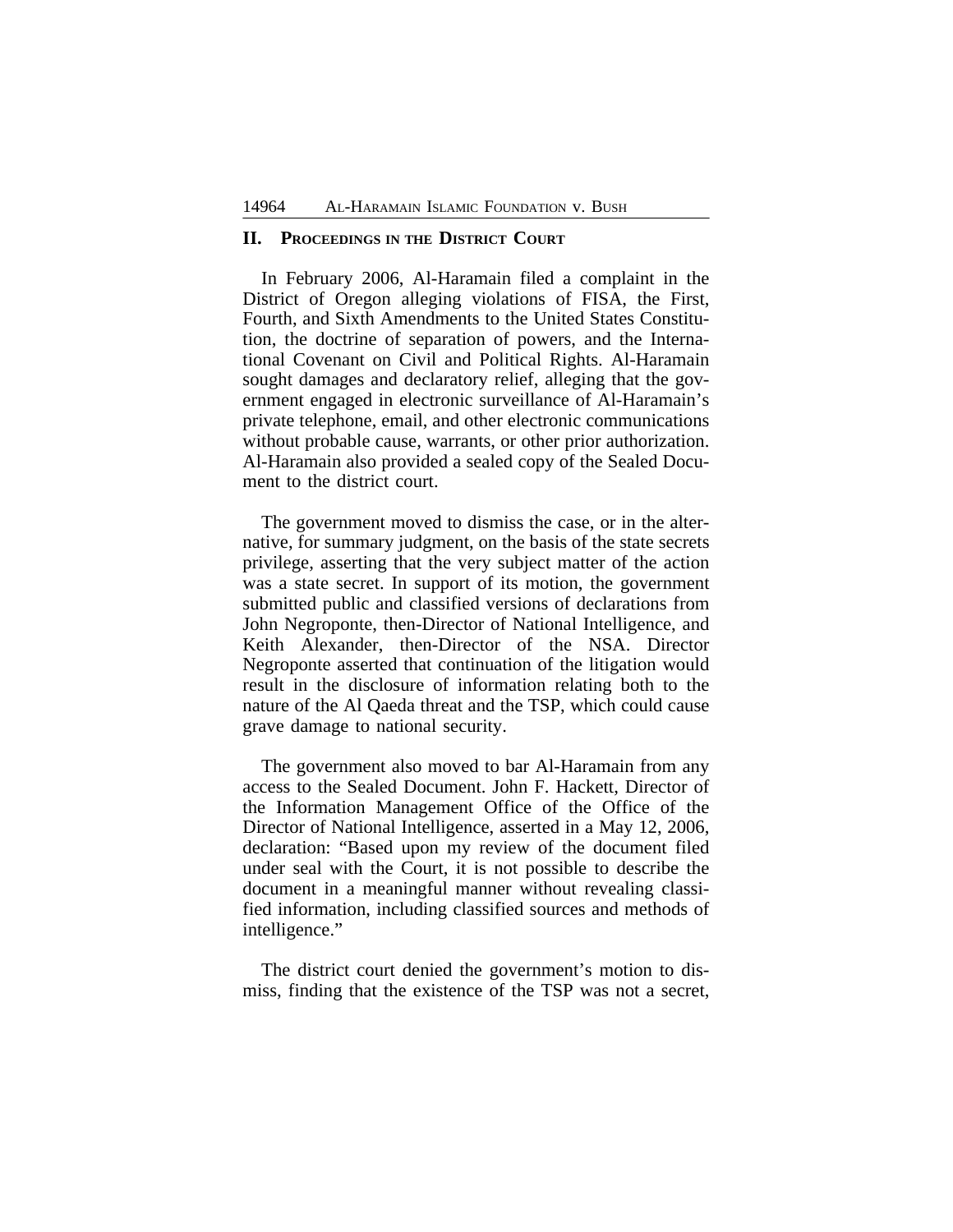#### **II. PROCEEDINGS IN THE DISTRICT COURT**

In February 2006, Al-Haramain filed a complaint in the District of Oregon alleging violations of FISA, the First, Fourth, and Sixth Amendments to the United States Constitution, the doctrine of separation of powers, and the International Covenant on Civil and Political Rights. Al-Haramain sought damages and declaratory relief, alleging that the government engaged in electronic surveillance of Al-Haramain's private telephone, email, and other electronic communications without probable cause, warrants, or other prior authorization. Al-Haramain also provided a sealed copy of the Sealed Document to the district court.

The government moved to dismiss the case, or in the alternative, for summary judgment, on the basis of the state secrets privilege, asserting that the very subject matter of the action was a state secret. In support of its motion, the government submitted public and classified versions of declarations from John Negroponte, then-Director of National Intelligence, and Keith Alexander, then-Director of the NSA. Director Negroponte asserted that continuation of the litigation would result in the disclosure of information relating both to the nature of the Al Qaeda threat and the TSP, which could cause grave damage to national security.

The government also moved to bar Al-Haramain from any access to the Sealed Document. John F. Hackett, Director of the Information Management Office of the Office of the Director of National Intelligence, asserted in a May 12, 2006, declaration: "Based upon my review of the document filed under seal with the Court, it is not possible to describe the document in a meaningful manner without revealing classified information, including classified sources and methods of intelligence."

The district court denied the government's motion to dismiss, finding that the existence of the TSP was not a secret,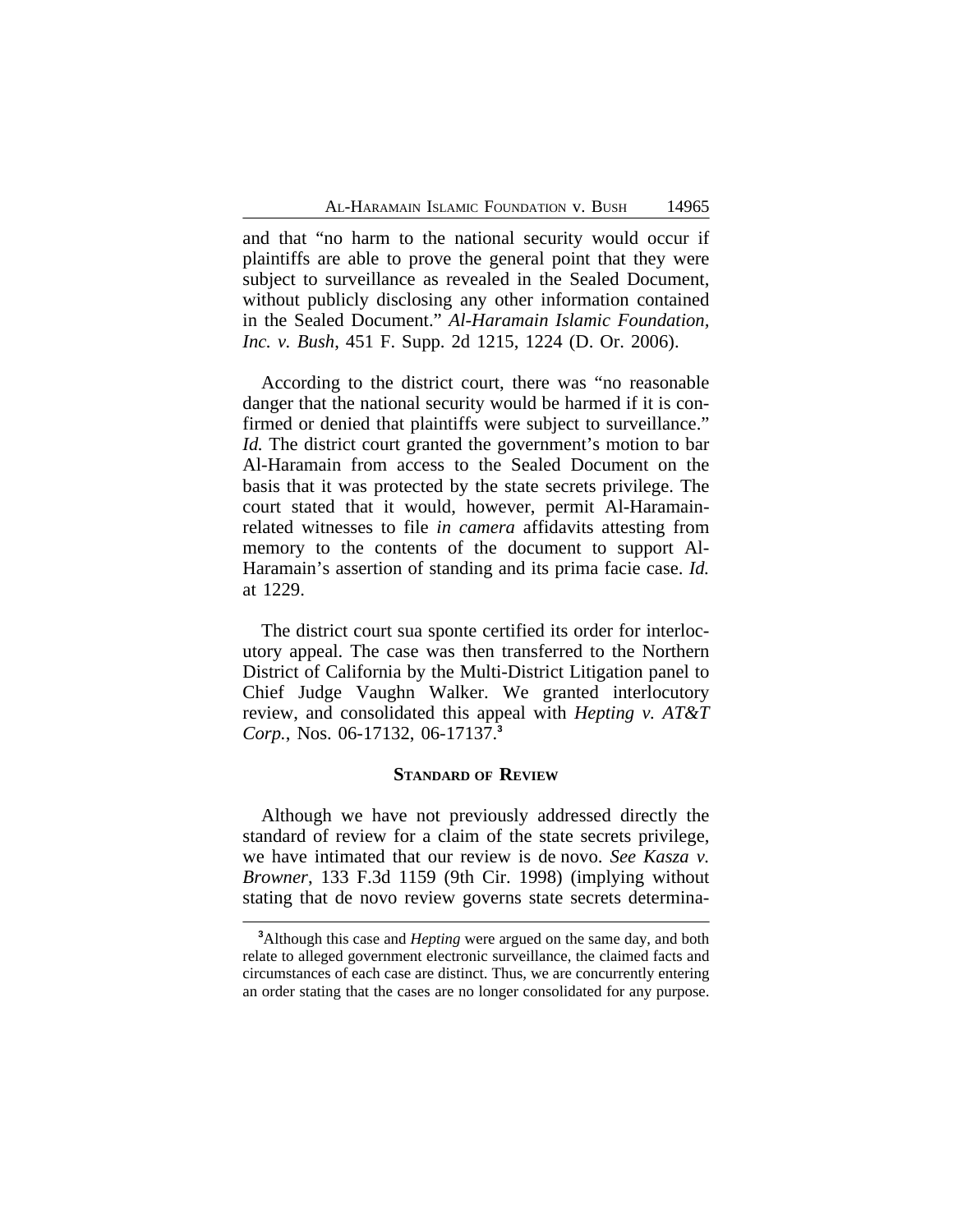and that "no harm to the national security would occur if plaintiffs are able to prove the general point that they were subject to surveillance as revealed in the Sealed Document, without publicly disclosing any other information contained in the Sealed Document." *Al-Haramain Islamic Foundation, Inc. v. Bush*, 451 F. Supp. 2d 1215, 1224 (D. Or. 2006).

According to the district court, there was "no reasonable danger that the national security would be harmed if it is confirmed or denied that plaintiffs were subject to surveillance." *Id.* The district court granted the government's motion to bar Al-Haramain from access to the Sealed Document on the basis that it was protected by the state secrets privilege. The court stated that it would, however, permit Al-Haramainrelated witnesses to file *in camera* affidavits attesting from memory to the contents of the document to support Al-Haramain's assertion of standing and its prima facie case. *Id.* at 1229.

The district court sua sponte certified its order for interlocutory appeal. The case was then transferred to the Northern District of California by the Multi-District Litigation panel to Chief Judge Vaughn Walker. We granted interlocutory review, and consolidated this appeal with *Hepting v. AT&T Corp.*, Nos. 06-17132, 06-17137.**<sup>3</sup>**

#### **STANDARD OF REVIEW**

Although we have not previously addressed directly the standard of review for a claim of the state secrets privilege, we have intimated that our review is de novo. *See Kasza v. Browner*, 133 F.3d 1159 (9th Cir. 1998) (implying without stating that de novo review governs state secrets determina-

**<sup>3</sup>**Although this case and *Hepting* were argued on the same day, and both relate to alleged government electronic surveillance, the claimed facts and circumstances of each case are distinct. Thus, we are concurrently entering an order stating that the cases are no longer consolidated for any purpose.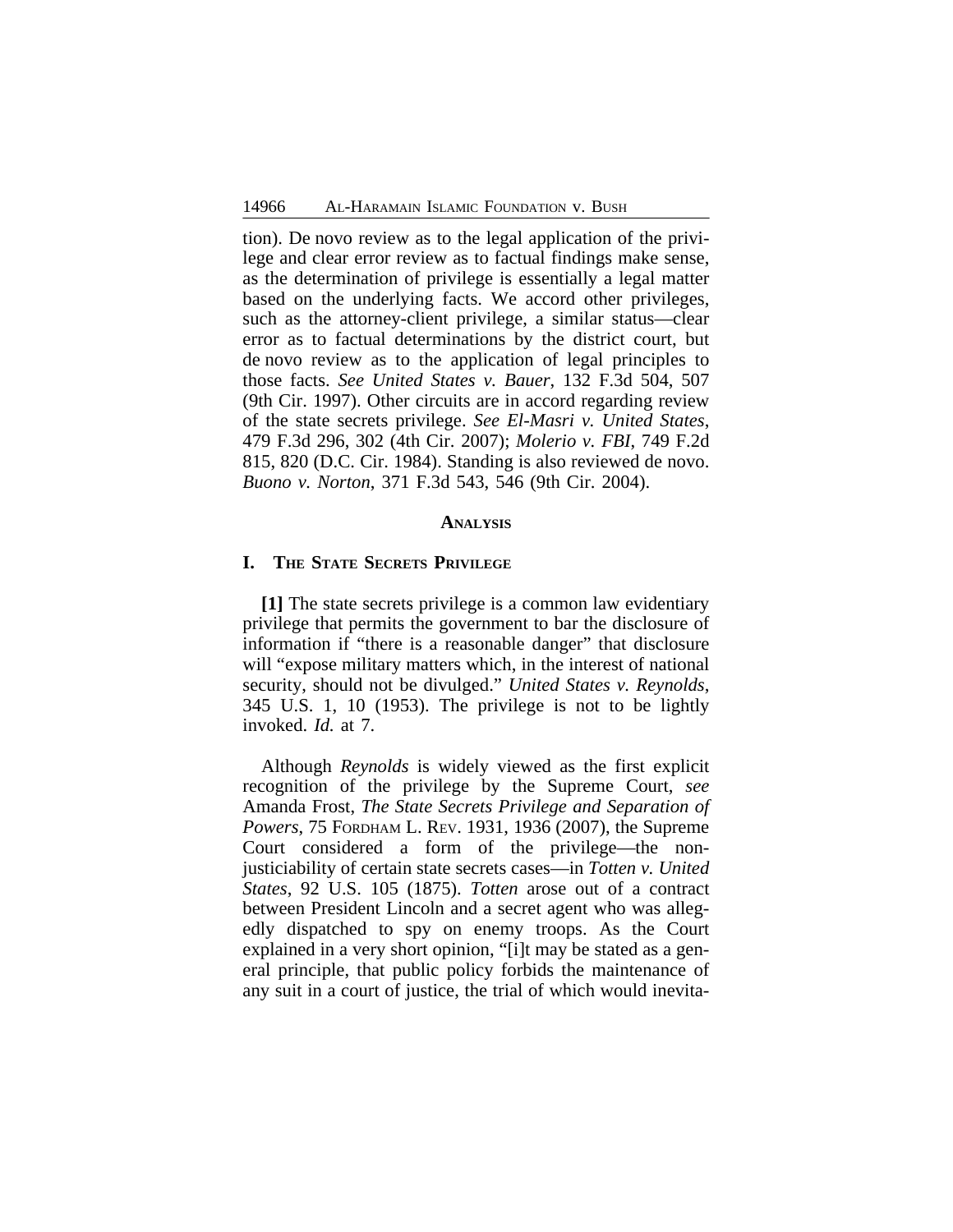tion). De novo review as to the legal application of the privilege and clear error review as to factual findings make sense, as the determination of privilege is essentially a legal matter based on the underlying facts. We accord other privileges, such as the attorney-client privilege, a similar status—clear error as to factual determinations by the district court, but de novo review as to the application of legal principles to those facts. *See United States v. Bauer*, 132 F.3d 504, 507 (9th Cir. 1997). Other circuits are in accord regarding review of the state secrets privilege. *See El-Masri v. United States*, 479 F.3d 296, 302 (4th Cir. 2007); *Molerio v. FBI*, 749 F.2d 815, 820 (D.C. Cir. 1984). Standing is also reviewed de novo. *Buono v. Norton*, 371 F.3d 543, 546 (9th Cir. 2004).

### **ANALYSIS**

## **I. THE STATE SECRETS PRIVILEGE**

**[1]** The state secrets privilege is a common law evidentiary privilege that permits the government to bar the disclosure of information if "there is a reasonable danger" that disclosure will "expose military matters which, in the interest of national security, should not be divulged." *United States v. Reynolds*, 345 U.S. 1, 10 (1953). The privilege is not to be lightly invoked. *Id.* at 7.

Although *Reynolds* is widely viewed as the first explicit recognition of the privilege by the Supreme Court, *see* Amanda Frost, *The State Secrets Privilege and Separation of Powers*, 75 FORDHAM L. REV. 1931, 1936 (2007), the Supreme Court considered a form of the privilege—the nonjusticiability of certain state secrets cases—in *Totten v. United States*, 92 U.S. 105 (1875). *Totten* arose out of a contract between President Lincoln and a secret agent who was allegedly dispatched to spy on enemy troops. As the Court explained in a very short opinion, "[i]t may be stated as a general principle, that public policy forbids the maintenance of any suit in a court of justice, the trial of which would inevita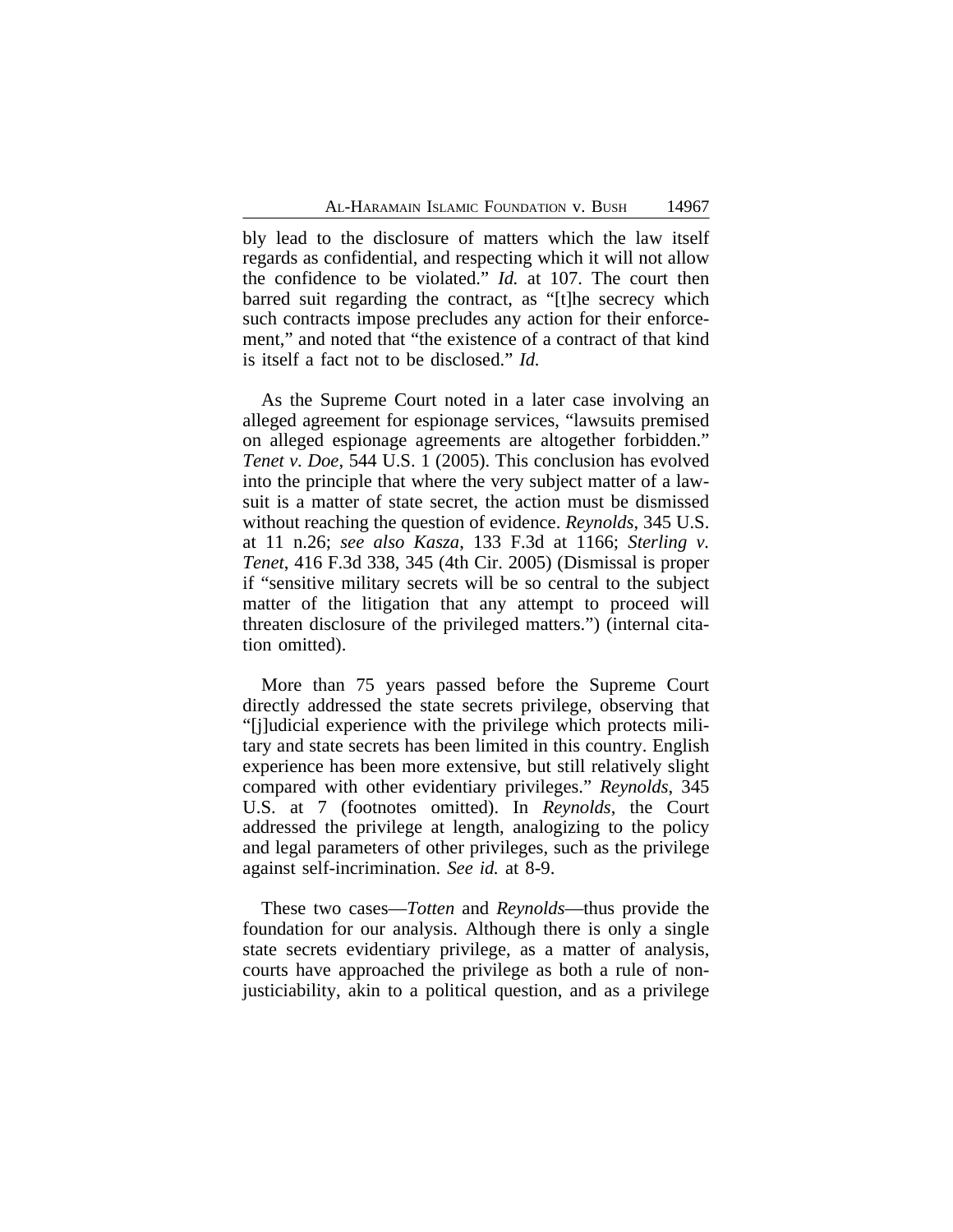bly lead to the disclosure of matters which the law itself regards as confidential, and respecting which it will not allow the confidence to be violated." *Id.* at 107. The court then barred suit regarding the contract, as "[t]he secrecy which such contracts impose precludes any action for their enforcement," and noted that "the existence of a contract of that kind is itself a fact not to be disclosed." *Id.*

As the Supreme Court noted in a later case involving an alleged agreement for espionage services, "lawsuits premised on alleged espionage agreements are altogether forbidden." *Tenet v. Doe*, 544 U.S. 1 (2005). This conclusion has evolved into the principle that where the very subject matter of a lawsuit is a matter of state secret, the action must be dismissed without reaching the question of evidence. *Reynolds*, 345 U.S. at 11 n.26; *see also Kasza*, 133 F.3d at 1166; *Sterling v. Tenet*, 416 F.3d 338, 345 (4th Cir. 2005) (Dismissal is proper if "sensitive military secrets will be so central to the subject matter of the litigation that any attempt to proceed will threaten disclosure of the privileged matters.") (internal citation omitted).

More than 75 years passed before the Supreme Court directly addressed the state secrets privilege, observing that "[j]udicial experience with the privilege which protects military and state secrets has been limited in this country. English experience has been more extensive, but still relatively slight compared with other evidentiary privileges." *Reynolds*, 345 U.S. at 7 (footnotes omitted). In *Reynolds*, the Court addressed the privilege at length, analogizing to the policy and legal parameters of other privileges, such as the privilege against self-incrimination. *See id.* at 8-9.

These two cases—*Totten* and *Reynolds*—thus provide the foundation for our analysis. Although there is only a single state secrets evidentiary privilege, as a matter of analysis, courts have approached the privilege as both a rule of nonjusticiability, akin to a political question, and as a privilege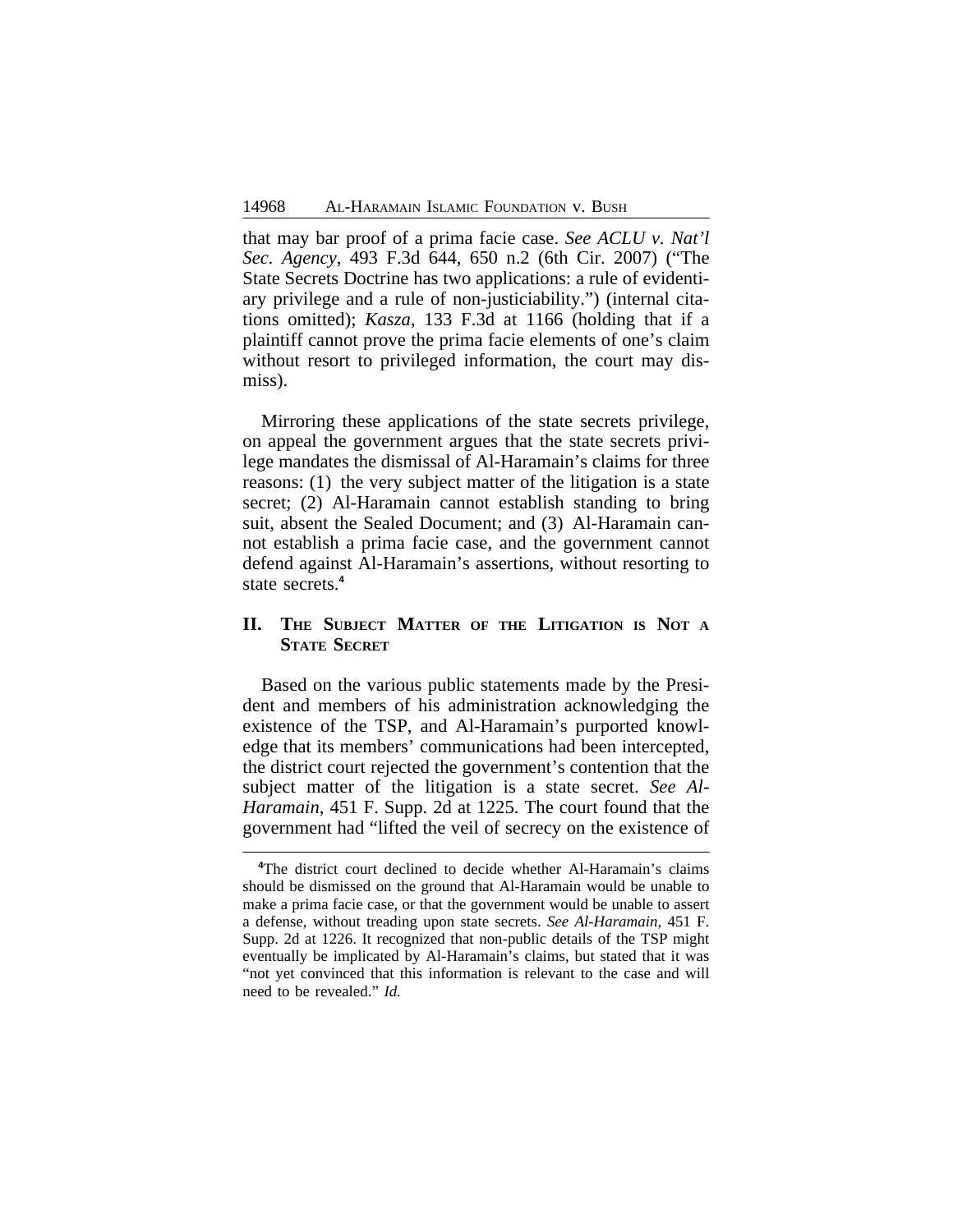that may bar proof of a prima facie case. *See ACLU v. Nat'l Sec. Agency*, 493 F.3d 644, 650 n.2 (6th Cir. 2007) ("The State Secrets Doctrine has two applications: a rule of evidentiary privilege and a rule of non-justiciability.") (internal citations omitted); *Kasza*, 133 F.3d at 1166 (holding that if a plaintiff cannot prove the prima facie elements of one's claim without resort to privileged information, the court may dismiss).

Mirroring these applications of the state secrets privilege, on appeal the government argues that the state secrets privilege mandates the dismissal of Al-Haramain's claims for three reasons: (1) the very subject matter of the litigation is a state secret; (2) Al-Haramain cannot establish standing to bring suit, absent the Sealed Document; and (3) Al-Haramain cannot establish a prima facie case, and the government cannot defend against Al-Haramain's assertions, without resorting to state secrets.**<sup>4</sup>**

## **II. THE SUBJECT MATTER OF THE LITIGATION IS NOT A STATE SECRET**

Based on the various public statements made by the President and members of his administration acknowledging the existence of the TSP, and Al-Haramain's purported knowledge that its members' communications had been intercepted, the district court rejected the government's contention that the subject matter of the litigation is a state secret. *See Al-Haramain*, 451 F. Supp. 2d at 1225. The court found that the government had "lifted the veil of secrecy on the existence of

**<sup>4</sup>**The district court declined to decide whether Al-Haramain's claims should be dismissed on the ground that Al-Haramain would be unable to make a prima facie case, or that the government would be unable to assert a defense, without treading upon state secrets. *See Al-Haramain*, 451 F. Supp. 2d at 1226. It recognized that non-public details of the TSP might eventually be implicated by Al-Haramain's claims, but stated that it was "not yet convinced that this information is relevant to the case and will need to be revealed." *Id.*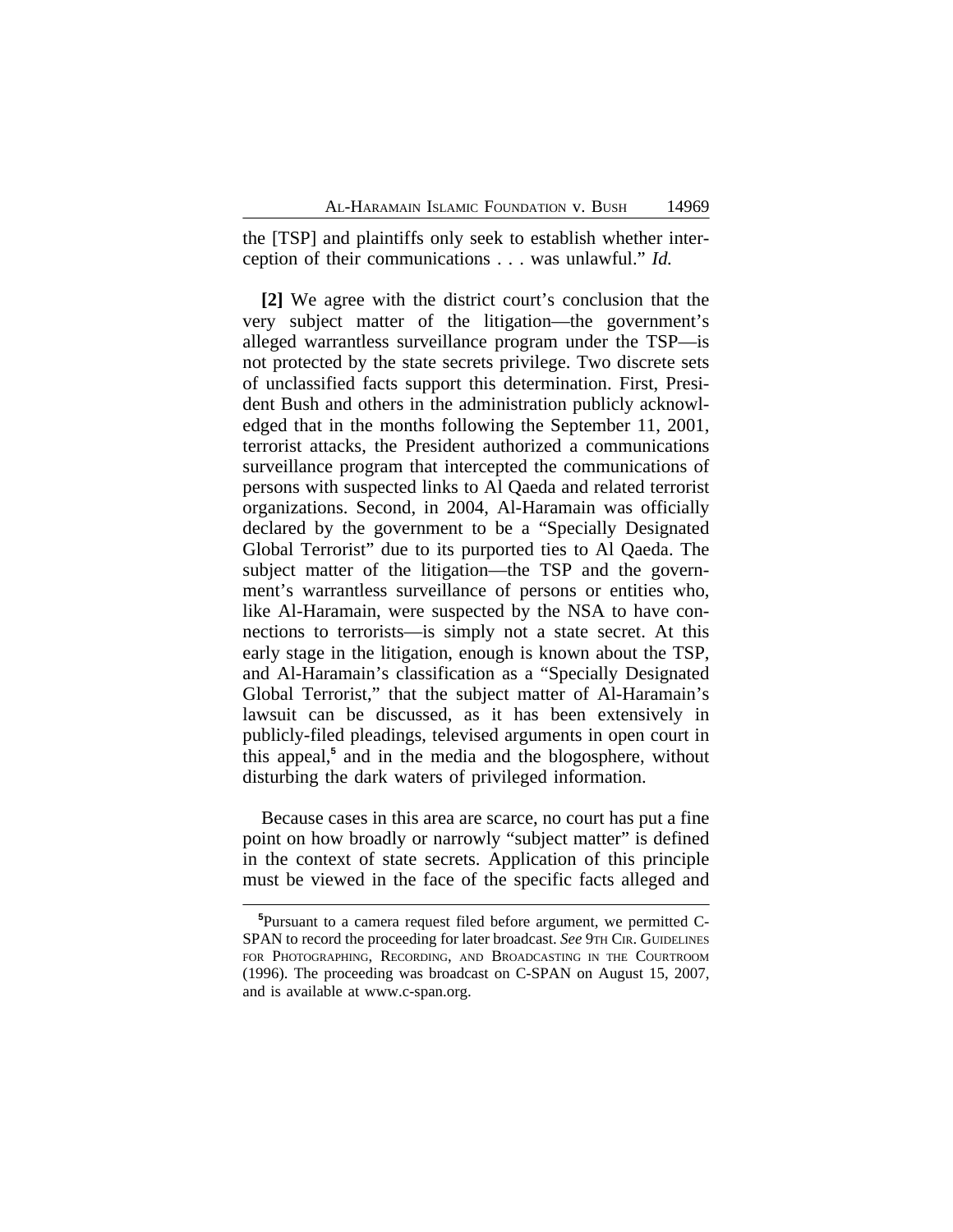the [TSP] and plaintiffs only seek to establish whether interception of their communications . . . was unlawful." *Id.*

**[2]** We agree with the district court's conclusion that the very subject matter of the litigation—the government's alleged warrantless surveillance program under the TSP—is not protected by the state secrets privilege. Two discrete sets of unclassified facts support this determination. First, President Bush and others in the administration publicly acknowledged that in the months following the September 11, 2001, terrorist attacks, the President authorized a communications surveillance program that intercepted the communications of persons with suspected links to Al Qaeda and related terrorist organizations. Second, in 2004, Al-Haramain was officially declared by the government to be a "Specially Designated Global Terrorist" due to its purported ties to Al Qaeda. The subject matter of the litigation—the TSP and the government's warrantless surveillance of persons or entities who, like Al-Haramain, were suspected by the NSA to have connections to terrorists—is simply not a state secret. At this early stage in the litigation, enough is known about the TSP, and Al-Haramain's classification as a "Specially Designated Global Terrorist," that the subject matter of Al-Haramain's lawsuit can be discussed, as it has been extensively in publicly-filed pleadings, televised arguments in open court in this appeal,**<sup>5</sup>** and in the media and the blogosphere, without disturbing the dark waters of privileged information.

Because cases in this area are scarce, no court has put a fine point on how broadly or narrowly "subject matter" is defined in the context of state secrets. Application of this principle must be viewed in the face of the specific facts alleged and

**<sup>5</sup>**Pursuant to a camera request filed before argument, we permitted C-SPAN to record the proceeding for later broadcast. *See* 9TH CIR. GUIDELINES FOR PHOTOGRAPHING, RECORDING, AND BROADCASTING IN THE COURTROOM (1996). The proceeding was broadcast on C-SPAN on August 15, 2007, and is available at www.c-span.org.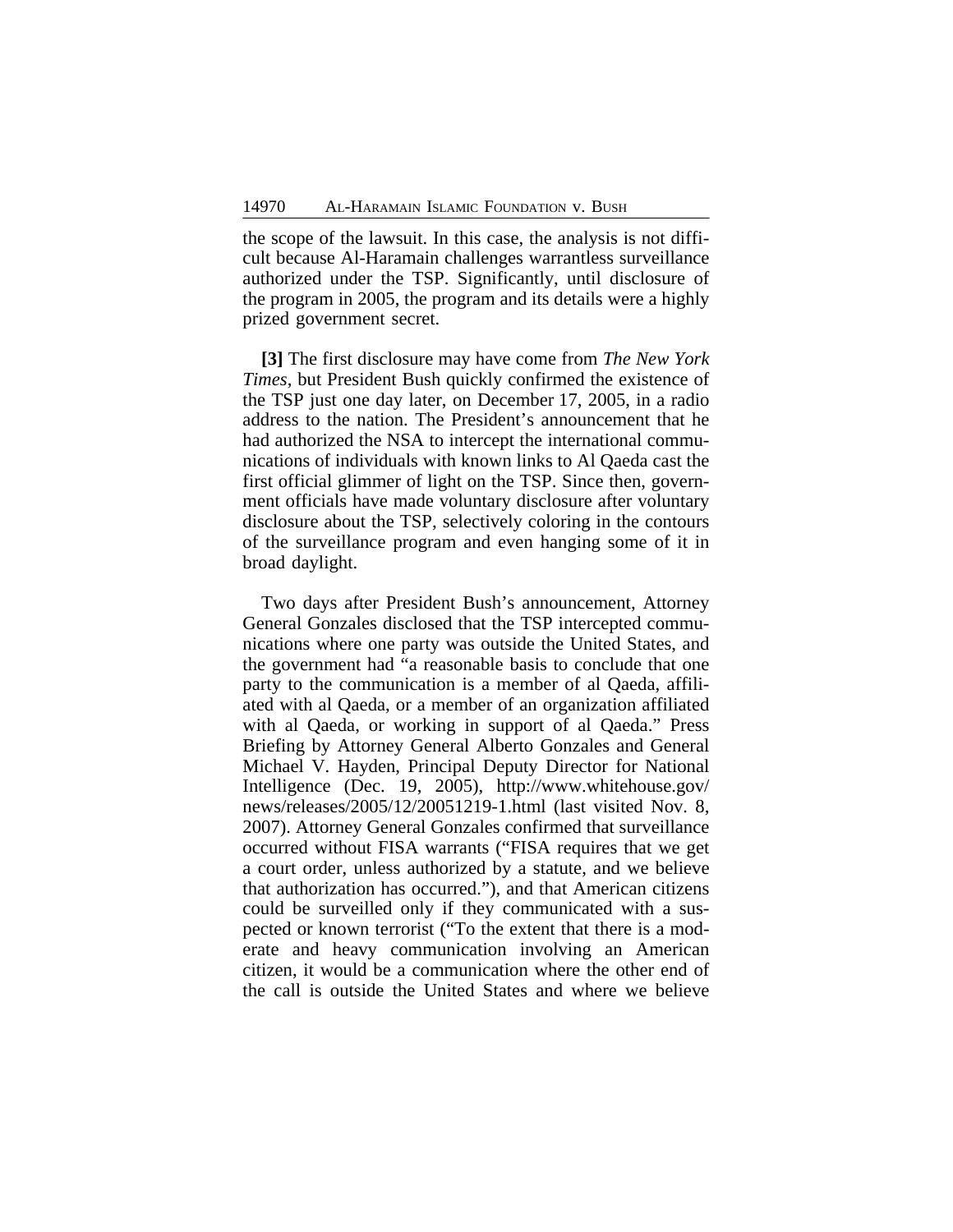the scope of the lawsuit. In this case, the analysis is not difficult because Al-Haramain challenges warrantless surveillance authorized under the TSP. Significantly, until disclosure of the program in 2005, the program and its details were a highly prized government secret.

**[3]** The first disclosure may have come from *The New York Times*, but President Bush quickly confirmed the existence of the TSP just one day later, on December 17, 2005, in a radio address to the nation. The President's announcement that he had authorized the NSA to intercept the international communications of individuals with known links to Al Qaeda cast the first official glimmer of light on the TSP. Since then, government officials have made voluntary disclosure after voluntary disclosure about the TSP, selectively coloring in the contours of the surveillance program and even hanging some of it in broad daylight.

Two days after President Bush's announcement, Attorney General Gonzales disclosed that the TSP intercepted communications where one party was outside the United States, and the government had "a reasonable basis to conclude that one party to the communication is a member of al Qaeda, affiliated with al Qaeda, or a member of an organization affiliated with al Qaeda, or working in support of al Qaeda." Press Briefing by Attorney General Alberto Gonzales and General Michael V. Hayden, Principal Deputy Director for National Intelligence (Dec. 19, 2005), http://www.whitehouse.gov/ news/releases/2005/12/20051219-1.html (last visited Nov. 8, 2007). Attorney General Gonzales confirmed that surveillance occurred without FISA warrants ("FISA requires that we get a court order, unless authorized by a statute, and we believe that authorization has occurred."), and that American citizens could be surveilled only if they communicated with a suspected or known terrorist ("To the extent that there is a moderate and heavy communication involving an American citizen, it would be a communication where the other end of the call is outside the United States and where we believe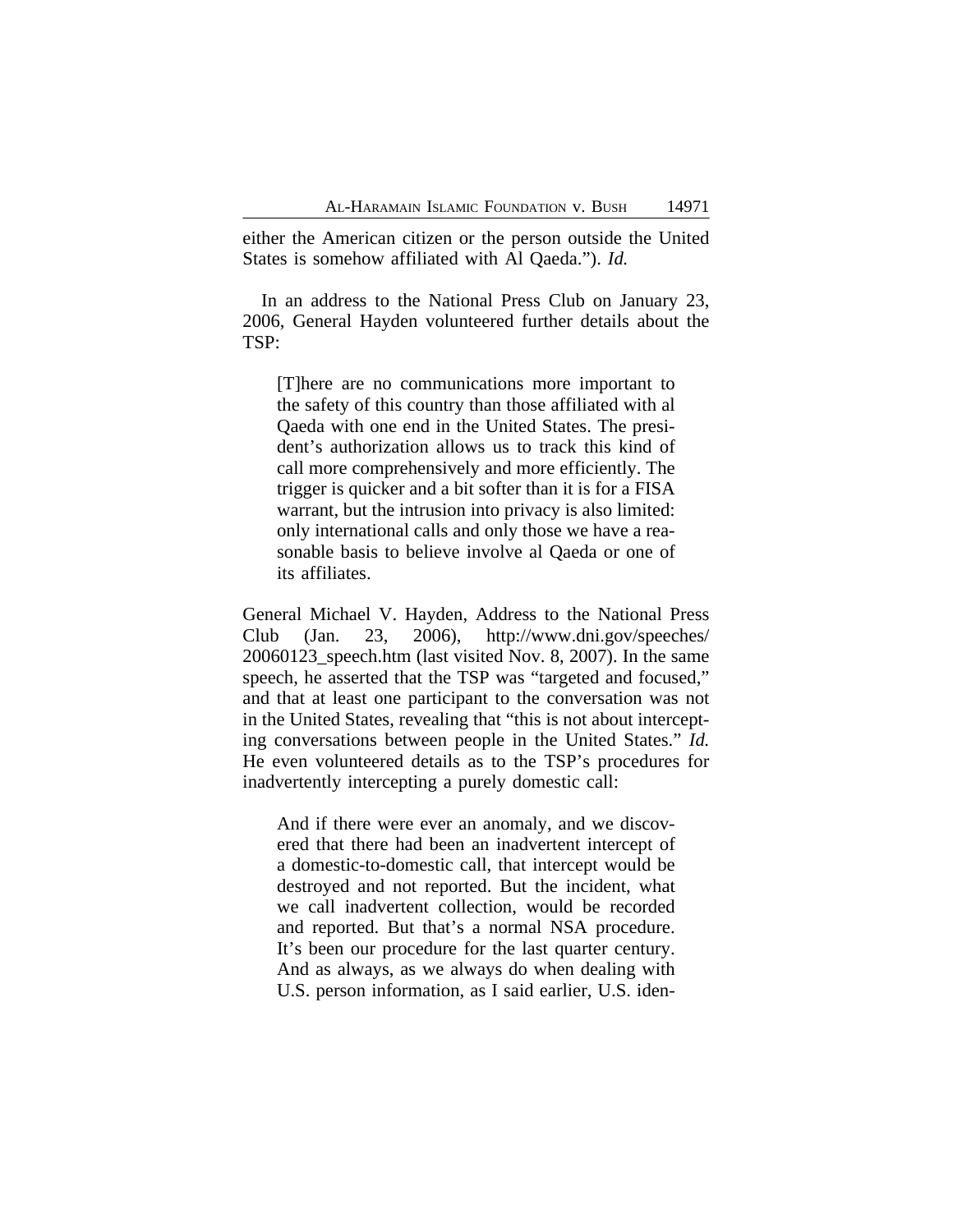either the American citizen or the person outside the United States is somehow affiliated with Al Qaeda."). *Id.*

In an address to the National Press Club on January 23, 2006, General Hayden volunteered further details about the TSP:

[T]here are no communications more important to the safety of this country than those affiliated with al Qaeda with one end in the United States. The president's authorization allows us to track this kind of call more comprehensively and more efficiently. The trigger is quicker and a bit softer than it is for a FISA warrant, but the intrusion into privacy is also limited: only international calls and only those we have a reasonable basis to believe involve al Qaeda or one of its affiliates.

General Michael V. Hayden, Address to the National Press Club (Jan. 23, 2006), http://www.dni.gov/speeches/ 20060123\_speech.htm (last visited Nov. 8, 2007). In the same speech, he asserted that the TSP was "targeted and focused," and that at least one participant to the conversation was not in the United States, revealing that "this is not about intercepting conversations between people in the United States." *Id.* He even volunteered details as to the TSP's procedures for inadvertently intercepting a purely domestic call:

And if there were ever an anomaly, and we discovered that there had been an inadvertent intercept of a domestic-to-domestic call, that intercept would be destroyed and not reported. But the incident, what we call inadvertent collection, would be recorded and reported. But that's a normal NSA procedure. It's been our procedure for the last quarter century. And as always, as we always do when dealing with U.S. person information, as I said earlier, U.S. iden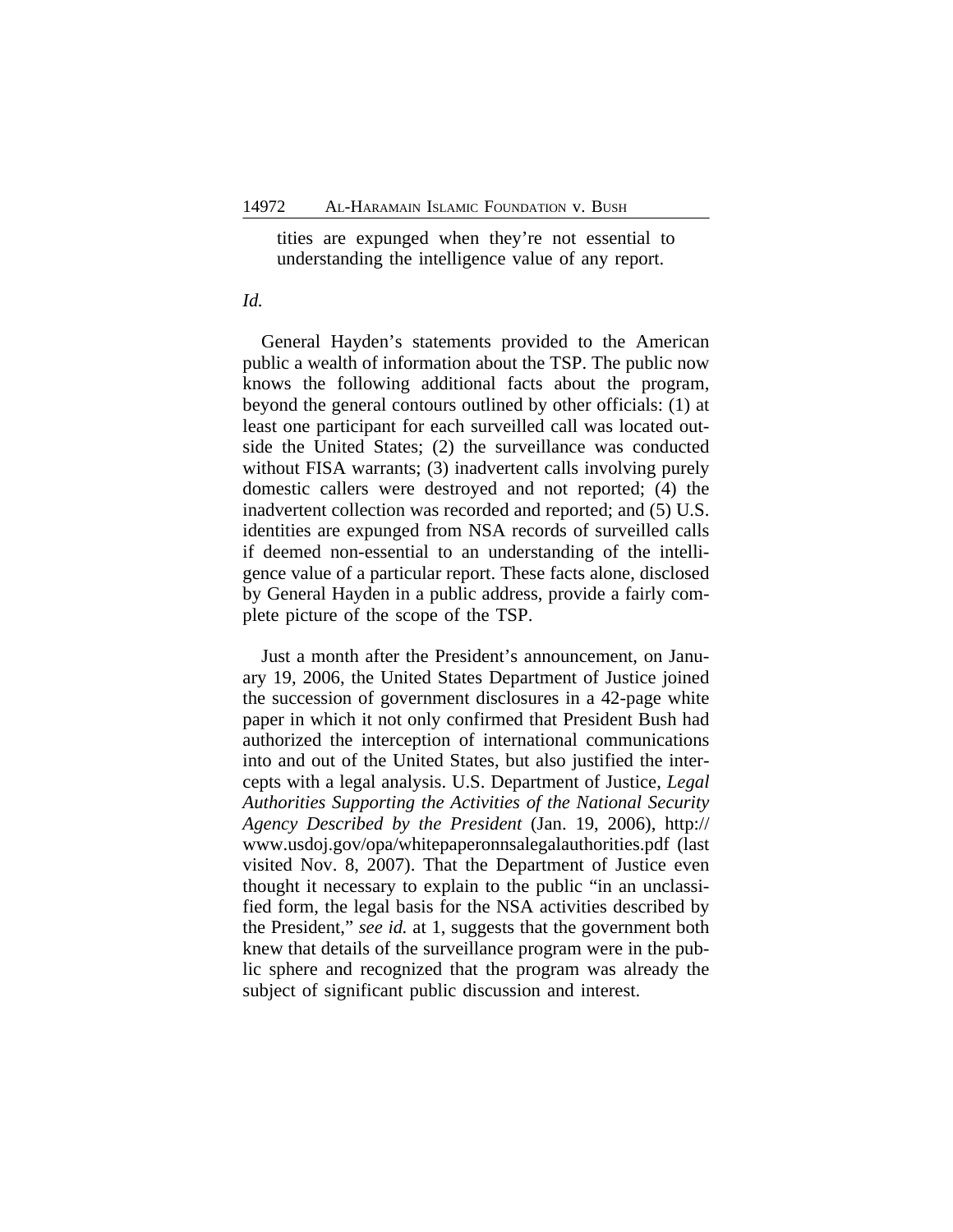tities are expunged when they're not essential to understanding the intelligence value of any report.

## *Id.*

General Hayden's statements provided to the American public a wealth of information about the TSP. The public now knows the following additional facts about the program, beyond the general contours outlined by other officials: (1) at least one participant for each surveilled call was located outside the United States; (2) the surveillance was conducted without FISA warrants; (3) inadvertent calls involving purely domestic callers were destroyed and not reported; (4) the inadvertent collection was recorded and reported; and (5) U.S. identities are expunged from NSA records of surveilled calls if deemed non-essential to an understanding of the intelligence value of a particular report. These facts alone, disclosed by General Hayden in a public address, provide a fairly complete picture of the scope of the TSP.

Just a month after the President's announcement, on January 19, 2006, the United States Department of Justice joined the succession of government disclosures in a 42-page white paper in which it not only confirmed that President Bush had authorized the interception of international communications into and out of the United States, but also justified the intercepts with a legal analysis. U.S. Department of Justice, *Legal Authorities Supporting the Activities of the National Security Agency Described by the President* (Jan. 19, 2006), http:// www.usdoj.gov/opa/whitepaperonnsalegalauthorities.pdf (last visited Nov. 8, 2007). That the Department of Justice even thought it necessary to explain to the public "in an unclassified form, the legal basis for the NSA activities described by the President," *see id.* at 1, suggests that the government both knew that details of the surveillance program were in the public sphere and recognized that the program was already the subject of significant public discussion and interest.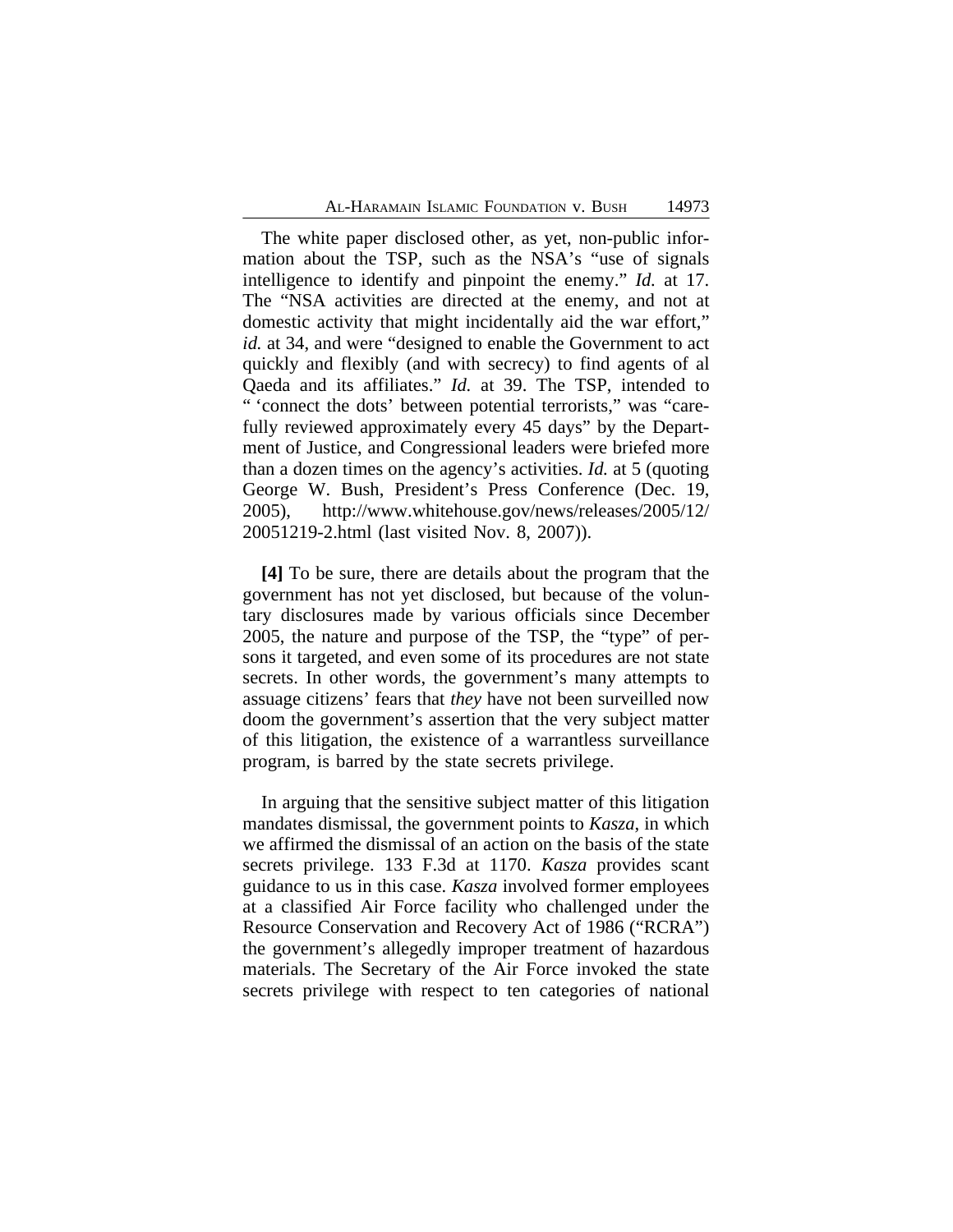The white paper disclosed other, as yet, non-public information about the TSP, such as the NSA's "use of signals intelligence to identify and pinpoint the enemy." *Id.* at 17. The "NSA activities are directed at the enemy, and not at domestic activity that might incidentally aid the war effort," *id.* at 34, and were "designed to enable the Government to act quickly and flexibly (and with secrecy) to find agents of al Qaeda and its affiliates." *Id.* at 39. The TSP, intended to " 'connect the dots' between potential terrorists," was "carefully reviewed approximately every 45 days" by the Department of Justice, and Congressional leaders were briefed more than a dozen times on the agency's activities. *Id.* at 5 (quoting George W. Bush, President's Press Conference (Dec. 19, 2005), http://www.whitehouse.gov/news/releases/2005/12/ 20051219-2.html (last visited Nov. 8, 2007)).

**[4]** To be sure, there are details about the program that the government has not yet disclosed, but because of the voluntary disclosures made by various officials since December 2005, the nature and purpose of the TSP, the "type" of persons it targeted, and even some of its procedures are not state secrets. In other words, the government's many attempts to assuage citizens' fears that *they* have not been surveilled now doom the government's assertion that the very subject matter of this litigation, the existence of a warrantless surveillance program, is barred by the state secrets privilege.

In arguing that the sensitive subject matter of this litigation mandates dismissal, the government points to *Kasza*, in which we affirmed the dismissal of an action on the basis of the state secrets privilege. 133 F.3d at 1170. *Kasza* provides scant guidance to us in this case. *Kasza* involved former employees at a classified Air Force facility who challenged under the Resource Conservation and Recovery Act of 1986 ("RCRA") the government's allegedly improper treatment of hazardous materials. The Secretary of the Air Force invoked the state secrets privilege with respect to ten categories of national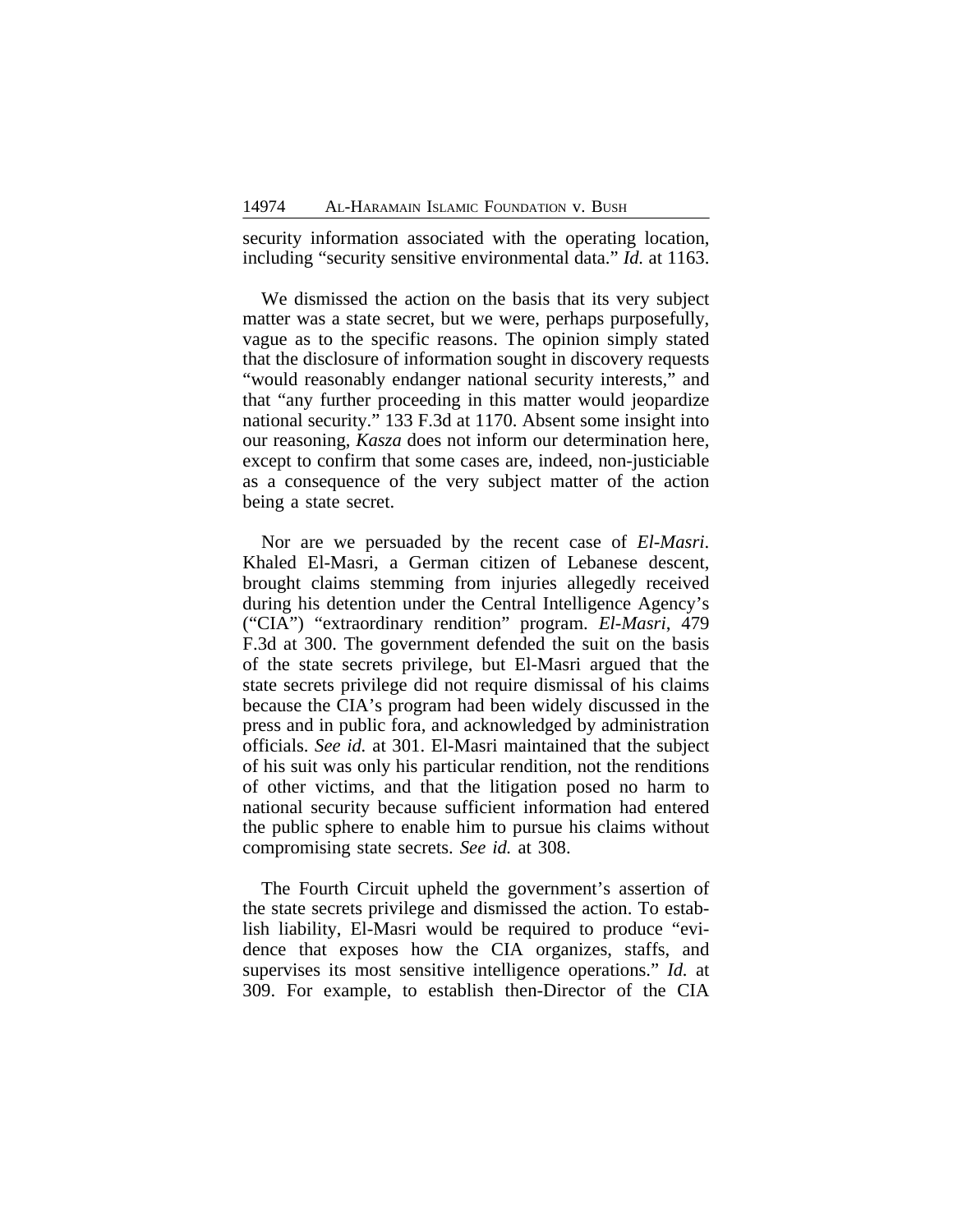security information associated with the operating location, including "security sensitive environmental data." *Id.* at 1163.

We dismissed the action on the basis that its very subject matter was a state secret, but we were, perhaps purposefully, vague as to the specific reasons. The opinion simply stated that the disclosure of information sought in discovery requests "would reasonably endanger national security interests," and that "any further proceeding in this matter would jeopardize national security." 133 F.3d at 1170. Absent some insight into our reasoning, *Kasza* does not inform our determination here, except to confirm that some cases are, indeed, non-justiciable as a consequence of the very subject matter of the action being a state secret.

Nor are we persuaded by the recent case of *El-Masri*. Khaled El-Masri, a German citizen of Lebanese descent, brought claims stemming from injuries allegedly received during his detention under the Central Intelligence Agency's ("CIA") "extraordinary rendition" program. *El-Masri*, 479 F.3d at 300. The government defended the suit on the basis of the state secrets privilege, but El-Masri argued that the state secrets privilege did not require dismissal of his claims because the CIA's program had been widely discussed in the press and in public fora, and acknowledged by administration officials. *See id.* at 301. El-Masri maintained that the subject of his suit was only his particular rendition, not the renditions of other victims, and that the litigation posed no harm to national security because sufficient information had entered the public sphere to enable him to pursue his claims without compromising state secrets. *See id.* at 308.

The Fourth Circuit upheld the government's assertion of the state secrets privilege and dismissed the action. To establish liability, El-Masri would be required to produce "evidence that exposes how the CIA organizes, staffs, and supervises its most sensitive intelligence operations." *Id.* at 309. For example, to establish then-Director of the CIA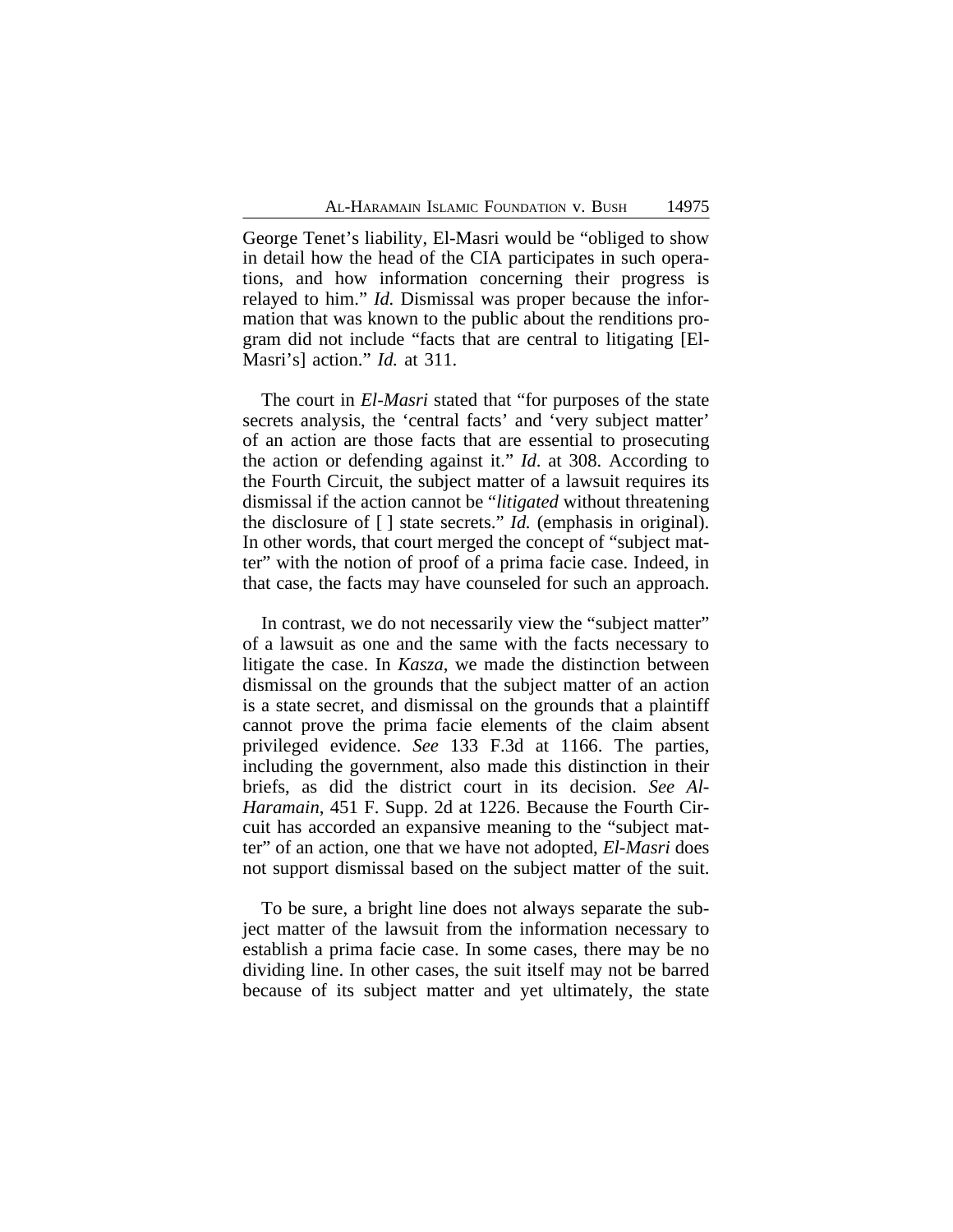George Tenet's liability, El-Masri would be "obliged to show in detail how the head of the CIA participates in such operations, and how information concerning their progress is relayed to him." *Id.* Dismissal was proper because the information that was known to the public about the renditions program did not include "facts that are central to litigating [El-Masri's] action." *Id.* at 311.

The court in *El-Masri* stated that "for purposes of the state secrets analysis, the 'central facts' and 'very subject matter' of an action are those facts that are essential to prosecuting the action or defending against it." *Id*. at 308. According to the Fourth Circuit, the subject matter of a lawsuit requires its dismissal if the action cannot be "*litigated* without threatening the disclosure of [ ] state secrets." *Id.* (emphasis in original). In other words, that court merged the concept of "subject matter" with the notion of proof of a prima facie case. Indeed, in that case, the facts may have counseled for such an approach.

In contrast, we do not necessarily view the "subject matter" of a lawsuit as one and the same with the facts necessary to litigate the case. In *Kasza*, we made the distinction between dismissal on the grounds that the subject matter of an action is a state secret, and dismissal on the grounds that a plaintiff cannot prove the prima facie elements of the claim absent privileged evidence. *See* 133 F.3d at 1166. The parties, including the government, also made this distinction in their briefs, as did the district court in its decision. *See Al-Haramain*, 451 F. Supp. 2d at 1226. Because the Fourth Circuit has accorded an expansive meaning to the "subject matter" of an action, one that we have not adopted, *El-Masri* does not support dismissal based on the subject matter of the suit.

To be sure, a bright line does not always separate the subject matter of the lawsuit from the information necessary to establish a prima facie case. In some cases, there may be no dividing line. In other cases, the suit itself may not be barred because of its subject matter and yet ultimately, the state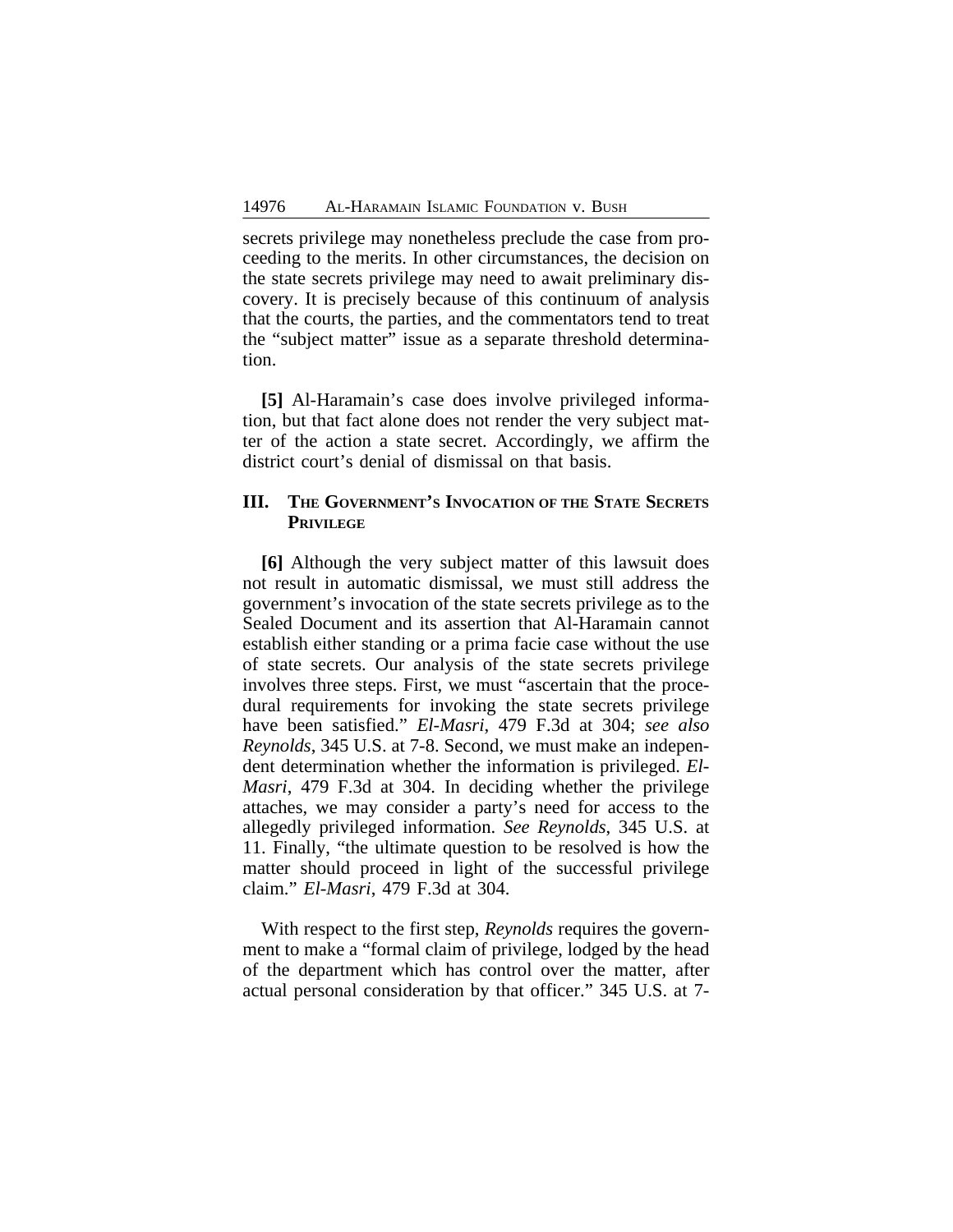secrets privilege may nonetheless preclude the case from proceeding to the merits. In other circumstances, the decision on the state secrets privilege may need to await preliminary discovery. It is precisely because of this continuum of analysis that the courts, the parties, and the commentators tend to treat the "subject matter" issue as a separate threshold determination.

**[5]** Al-Haramain's case does involve privileged information, but that fact alone does not render the very subject matter of the action a state secret. Accordingly, we affirm the district court's denial of dismissal on that basis.

## **III. THE GOVERNMENT'S INVOCATION OF THE STATE SECRETS PRIVILEGE**

**[6]** Although the very subject matter of this lawsuit does not result in automatic dismissal, we must still address the government's invocation of the state secrets privilege as to the Sealed Document and its assertion that Al-Haramain cannot establish either standing or a prima facie case without the use of state secrets. Our analysis of the state secrets privilege involves three steps. First, we must "ascertain that the procedural requirements for invoking the state secrets privilege have been satisfied." *El-Masri*, 479 F.3d at 304; *see also Reynolds*, 345 U.S. at 7-8. Second, we must make an independent determination whether the information is privileged. *El-Masri*, 479 F.3d at 304. In deciding whether the privilege attaches, we may consider a party's need for access to the allegedly privileged information. *See Reynolds*, 345 U.S. at 11. Finally, "the ultimate question to be resolved is how the matter should proceed in light of the successful privilege claim." *El-Masri*, 479 F.3d at 304.

With respect to the first step, *Reynolds* requires the government to make a "formal claim of privilege, lodged by the head of the department which has control over the matter, after actual personal consideration by that officer." 345 U.S. at 7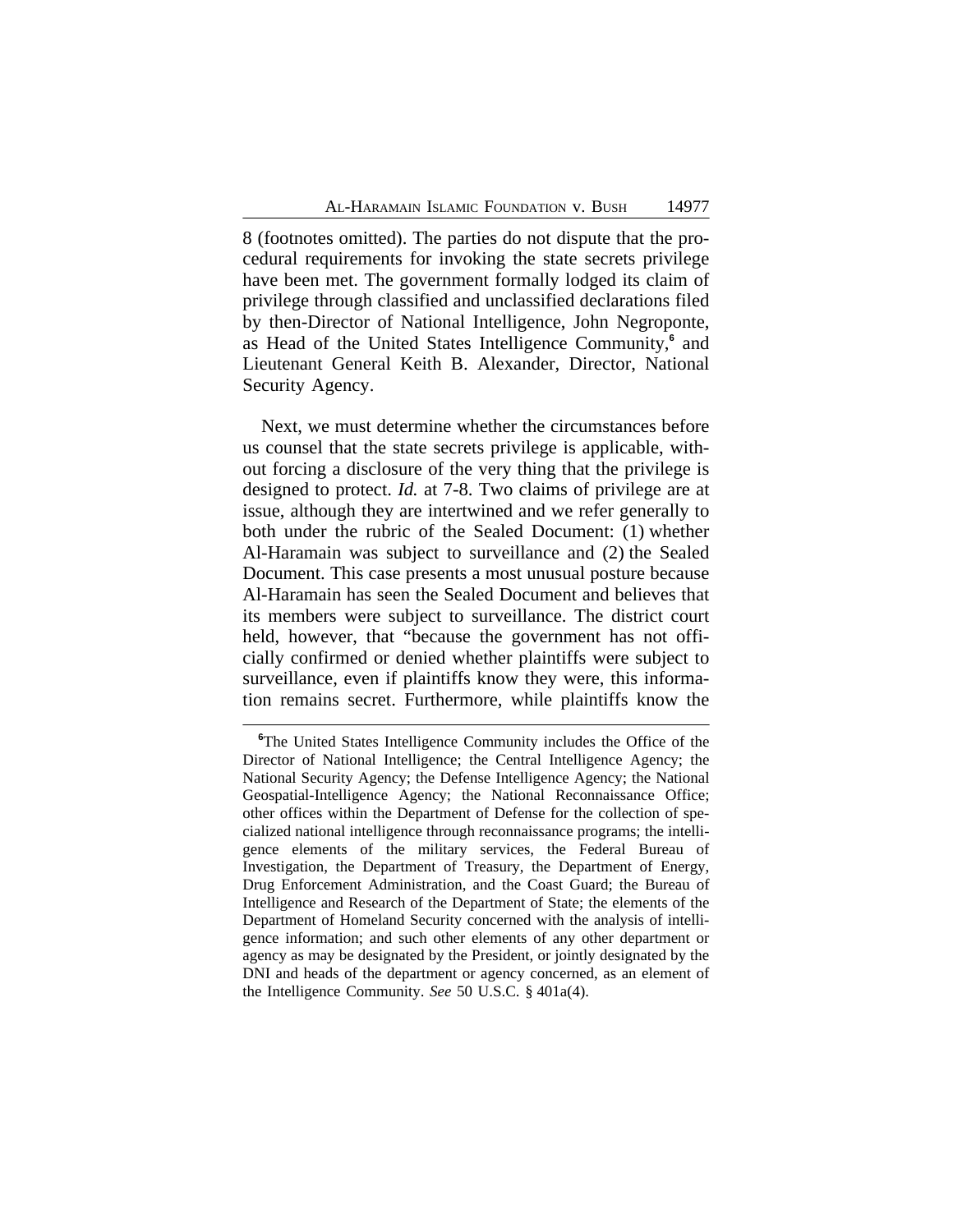8 (footnotes omitted). The parties do not dispute that the procedural requirements for invoking the state secrets privilege have been met. The government formally lodged its claim of privilege through classified and unclassified declarations filed by then-Director of National Intelligence, John Negroponte, as Head of the United States Intelligence Community,**<sup>6</sup>** and Lieutenant General Keith B. Alexander, Director, National Security Agency.

Next, we must determine whether the circumstances before us counsel that the state secrets privilege is applicable, without forcing a disclosure of the very thing that the privilege is designed to protect. *Id.* at 7-8. Two claims of privilege are at issue, although they are intertwined and we refer generally to both under the rubric of the Sealed Document: (1) whether Al-Haramain was subject to surveillance and (2) the Sealed Document. This case presents a most unusual posture because Al-Haramain has seen the Sealed Document and believes that its members were subject to surveillance. The district court held, however, that "because the government has not officially confirmed or denied whether plaintiffs were subject to surveillance, even if plaintiffs know they were, this information remains secret. Furthermore, while plaintiffs know the

**<sup>6</sup>**The United States Intelligence Community includes the Office of the Director of National Intelligence; the Central Intelligence Agency; the National Security Agency; the Defense Intelligence Agency; the National Geospatial-Intelligence Agency; the National Reconnaissance Office; other offices within the Department of Defense for the collection of specialized national intelligence through reconnaissance programs; the intelligence elements of the military services, the Federal Bureau of Investigation, the Department of Treasury, the Department of Energy, Drug Enforcement Administration, and the Coast Guard; the Bureau of Intelligence and Research of the Department of State; the elements of the Department of Homeland Security concerned with the analysis of intelligence information; and such other elements of any other department or agency as may be designated by the President, or jointly designated by the DNI and heads of the department or agency concerned, as an element of the Intelligence Community. *See* 50 U.S.C. § 401a(4).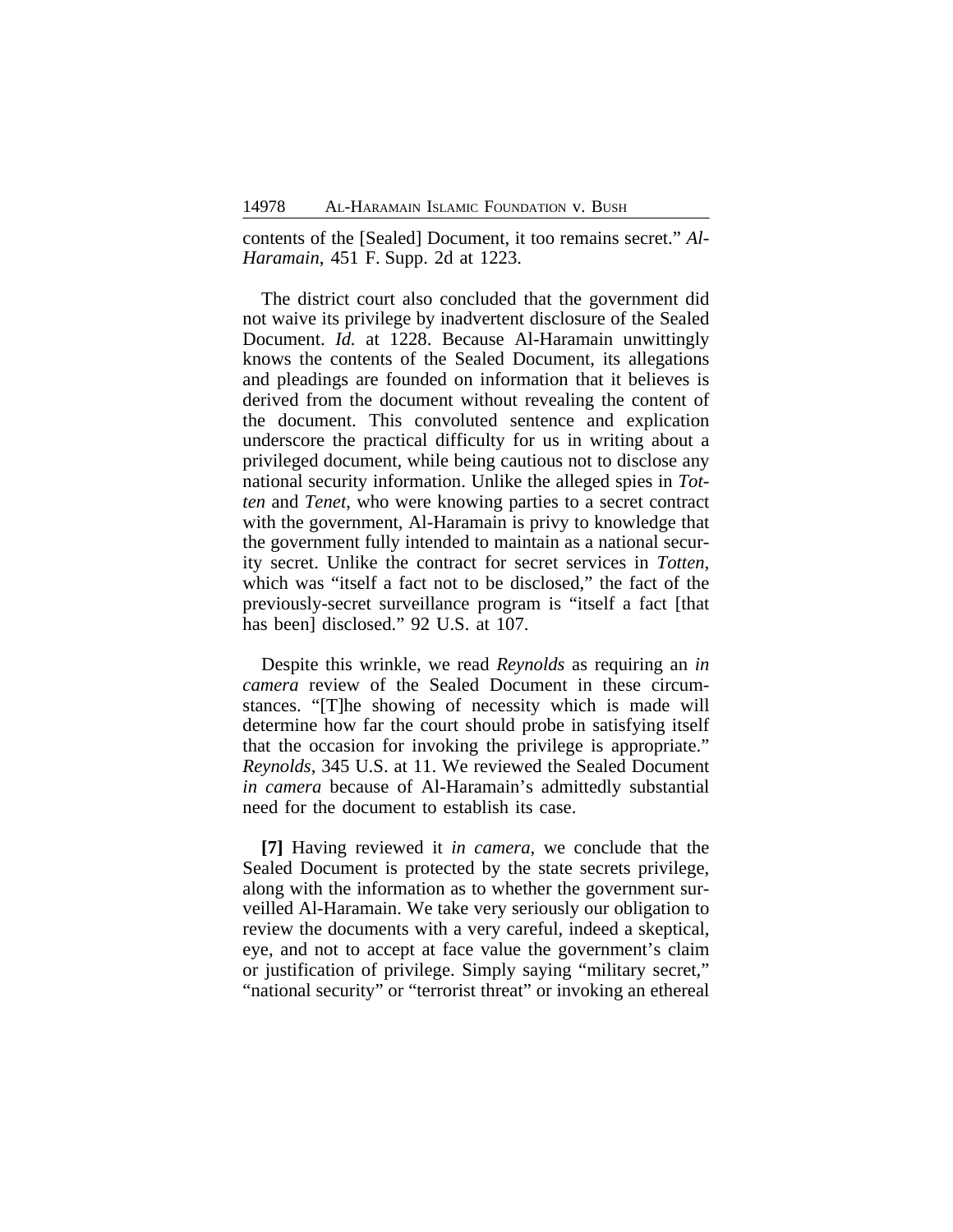contents of the [Sealed] Document, it too remains secret." *Al-Haramain*, 451 F. Supp. 2d at 1223.

The district court also concluded that the government did not waive its privilege by inadvertent disclosure of the Sealed Document. *Id.* at 1228. Because Al-Haramain unwittingly knows the contents of the Sealed Document, its allegations and pleadings are founded on information that it believes is derived from the document without revealing the content of the document. This convoluted sentence and explication underscore the practical difficulty for us in writing about a privileged document, while being cautious not to disclose any national security information. Unlike the alleged spies in *Totten* and *Tenet*, who were knowing parties to a secret contract with the government, Al-Haramain is privy to knowledge that the government fully intended to maintain as a national security secret. Unlike the contract for secret services in *Totten*, which was "itself a fact not to be disclosed," the fact of the previously-secret surveillance program is "itself a fact [that has been] disclosed." 92 U.S. at 107.

Despite this wrinkle, we read *Reynolds* as requiring an *in camera* review of the Sealed Document in these circumstances. "[T]he showing of necessity which is made will determine how far the court should probe in satisfying itself that the occasion for invoking the privilege is appropriate." *Reynolds*, 345 U.S. at 11. We reviewed the Sealed Document *in camera* because of Al-Haramain's admittedly substantial need for the document to establish its case.

**[7]** Having reviewed it *in camera*, we conclude that the Sealed Document is protected by the state secrets privilege, along with the information as to whether the government surveilled Al-Haramain. We take very seriously our obligation to review the documents with a very careful, indeed a skeptical, eye, and not to accept at face value the government's claim or justification of privilege. Simply saying "military secret," "national security" or "terrorist threat" or invoking an ethereal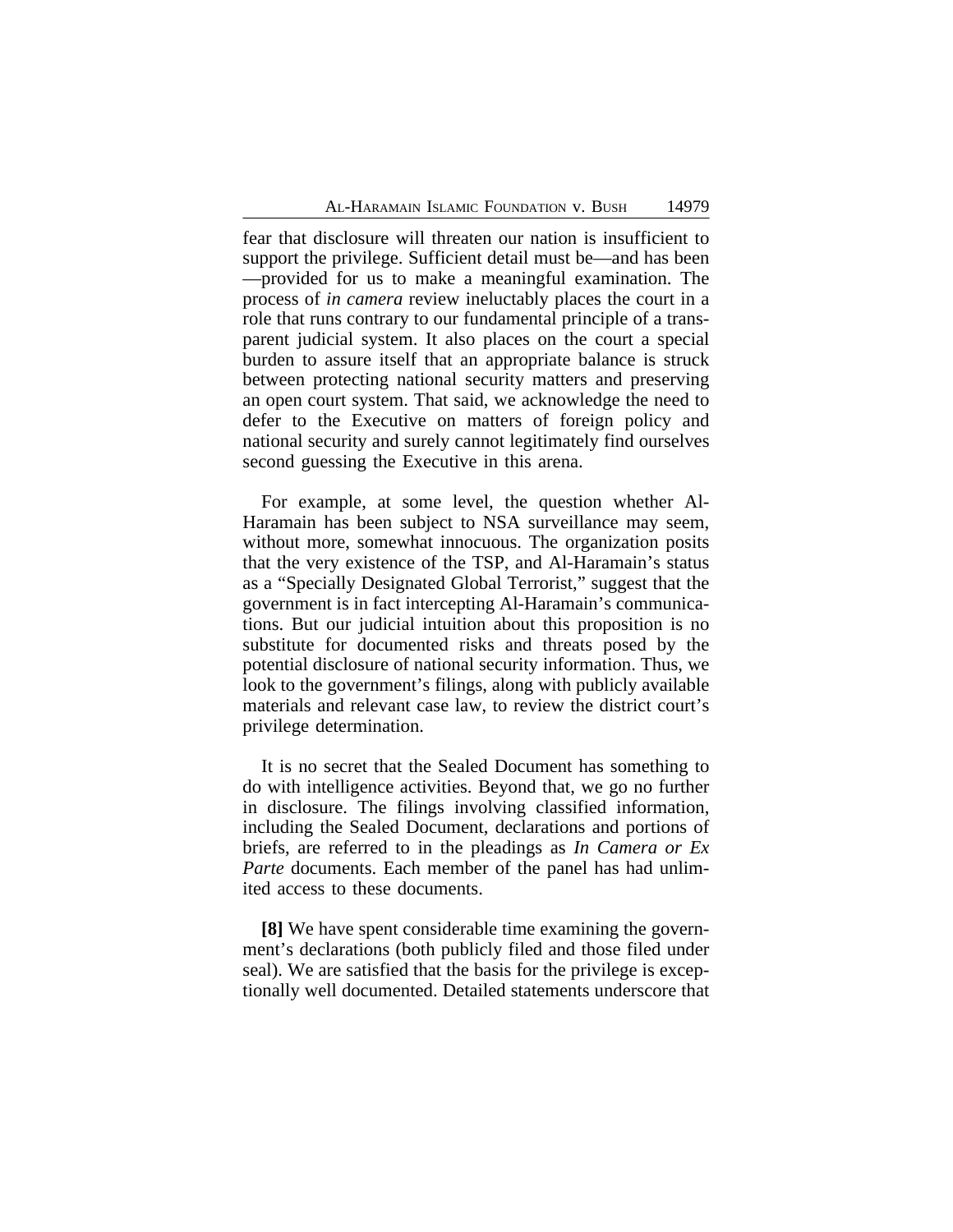fear that disclosure will threaten our nation is insufficient to support the privilege. Sufficient detail must be—and has been —provided for us to make a meaningful examination. The process of *in camera* review ineluctably places the court in a role that runs contrary to our fundamental principle of a transparent judicial system. It also places on the court a special burden to assure itself that an appropriate balance is struck between protecting national security matters and preserving an open court system. That said, we acknowledge the need to defer to the Executive on matters of foreign policy and national security and surely cannot legitimately find ourselves second guessing the Executive in this arena.

For example, at some level, the question whether Al-Haramain has been subject to NSA surveillance may seem, without more, somewhat innocuous. The organization posits that the very existence of the TSP, and Al-Haramain's status as a "Specially Designated Global Terrorist," suggest that the government is in fact intercepting Al-Haramain's communications. But our judicial intuition about this proposition is no substitute for documented risks and threats posed by the potential disclosure of national security information. Thus, we look to the government's filings, along with publicly available materials and relevant case law, to review the district court's privilege determination.

It is no secret that the Sealed Document has something to do with intelligence activities. Beyond that, we go no further in disclosure. The filings involving classified information, including the Sealed Document, declarations and portions of briefs, are referred to in the pleadings as *In Camera or Ex Parte* documents. Each member of the panel has had unlimited access to these documents.

**[8]** We have spent considerable time examining the government's declarations (both publicly filed and those filed under seal). We are satisfied that the basis for the privilege is exceptionally well documented. Detailed statements underscore that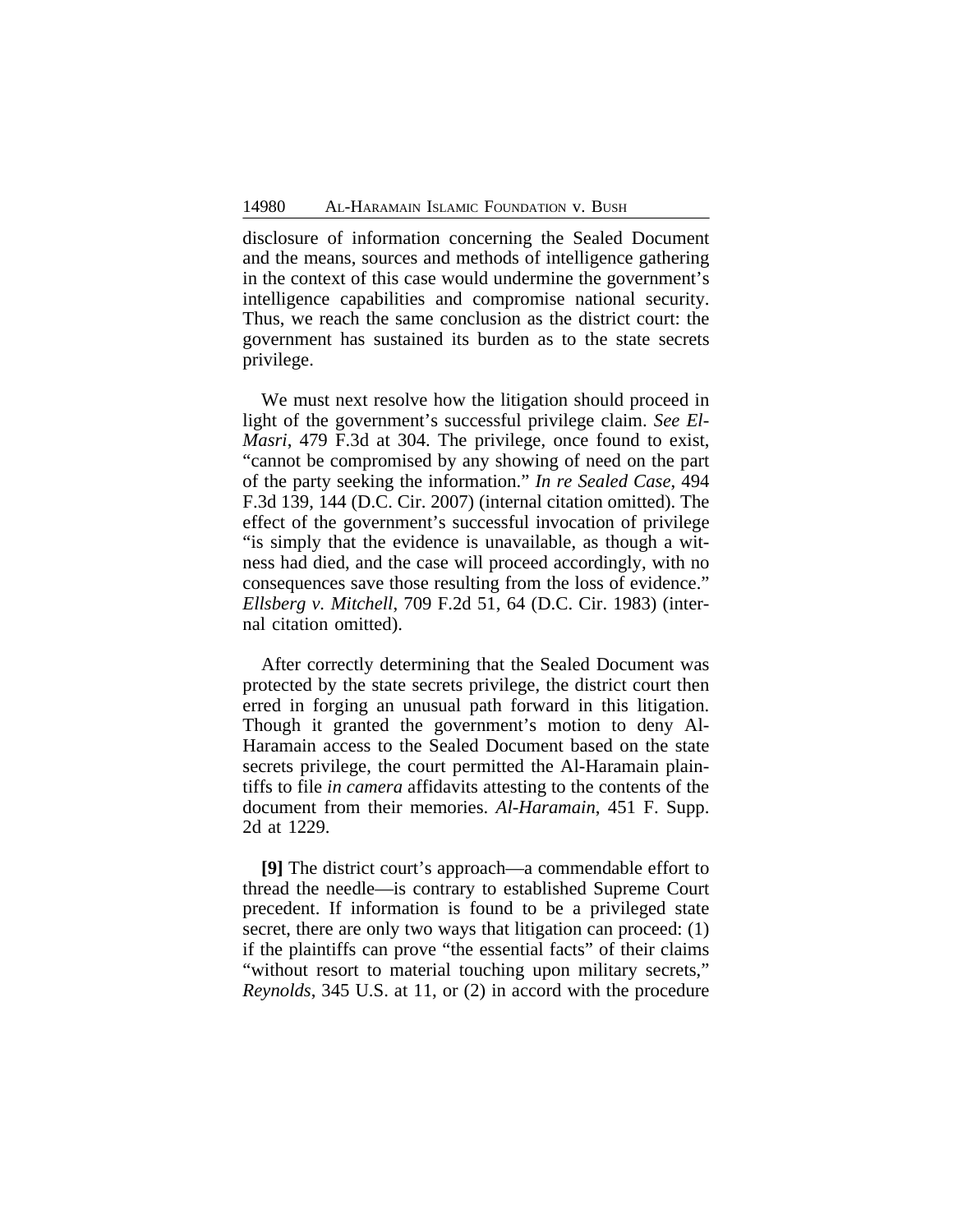disclosure of information concerning the Sealed Document and the means, sources and methods of intelligence gathering in the context of this case would undermine the government's intelligence capabilities and compromise national security. Thus, we reach the same conclusion as the district court: the government has sustained its burden as to the state secrets privilege.

We must next resolve how the litigation should proceed in light of the government's successful privilege claim. *See El-Masri*, 479 F.3d at 304. The privilege, once found to exist, "cannot be compromised by any showing of need on the part of the party seeking the information." *In re Sealed Case*, 494 F.3d 139, 144 (D.C. Cir. 2007) (internal citation omitted). The effect of the government's successful invocation of privilege "is simply that the evidence is unavailable, as though a witness had died, and the case will proceed accordingly, with no consequences save those resulting from the loss of evidence." *Ellsberg v. Mitchell*, 709 F.2d 51, 64 (D.C. Cir. 1983) (internal citation omitted).

After correctly determining that the Sealed Document was protected by the state secrets privilege, the district court then erred in forging an unusual path forward in this litigation. Though it granted the government's motion to deny Al-Haramain access to the Sealed Document based on the state secrets privilege, the court permitted the Al-Haramain plaintiffs to file *in camera* affidavits attesting to the contents of the document from their memories. *Al-Haramain*, 451 F. Supp. 2d at 1229.

**[9]** The district court's approach—a commendable effort to thread the needle—is contrary to established Supreme Court precedent. If information is found to be a privileged state secret, there are only two ways that litigation can proceed: (1) if the plaintiffs can prove "the essential facts" of their claims "without resort to material touching upon military secrets," *Reynolds*, 345 U.S. at 11, or (2) in accord with the procedure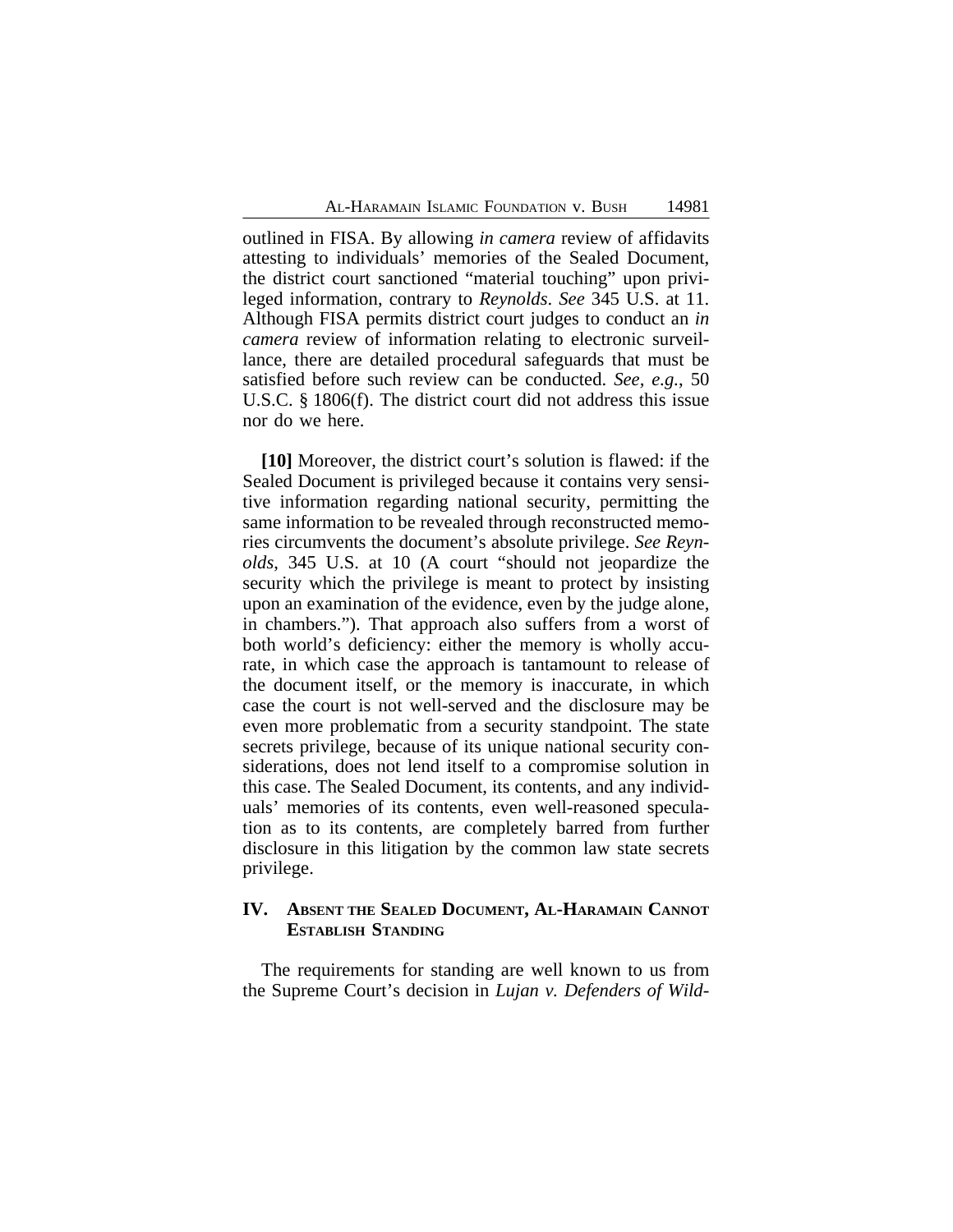outlined in FISA. By allowing *in camera* review of affidavits attesting to individuals' memories of the Sealed Document, the district court sanctioned "material touching" upon privileged information, contrary to *Reynolds*. *See* 345 U.S. at 11. Although FISA permits district court judges to conduct an *in camera* review of information relating to electronic surveillance, there are detailed procedural safeguards that must be satisfied before such review can be conducted. *See, e.g.*, 50 U.S.C. § 1806(f). The district court did not address this issue nor do we here.

**[10]** Moreover, the district court's solution is flawed: if the Sealed Document is privileged because it contains very sensitive information regarding national security, permitting the same information to be revealed through reconstructed memories circumvents the document's absolute privilege. *See Reynolds*, 345 U.S. at 10 (A court "should not jeopardize the security which the privilege is meant to protect by insisting upon an examination of the evidence, even by the judge alone, in chambers."). That approach also suffers from a worst of both world's deficiency: either the memory is wholly accurate, in which case the approach is tantamount to release of the document itself, or the memory is inaccurate, in which case the court is not well-served and the disclosure may be even more problematic from a security standpoint. The state secrets privilege, because of its unique national security considerations, does not lend itself to a compromise solution in this case. The Sealed Document, its contents, and any individuals' memories of its contents, even well-reasoned speculation as to its contents, are completely barred from further disclosure in this litigation by the common law state secrets privilege.

## **IV. ABSENT THE SEALED DOCUMENT, AL-HARAMAIN CANNOT ESTABLISH STANDING**

The requirements for standing are well known to us from the Supreme Court's decision in *Lujan v. Defenders of Wild-*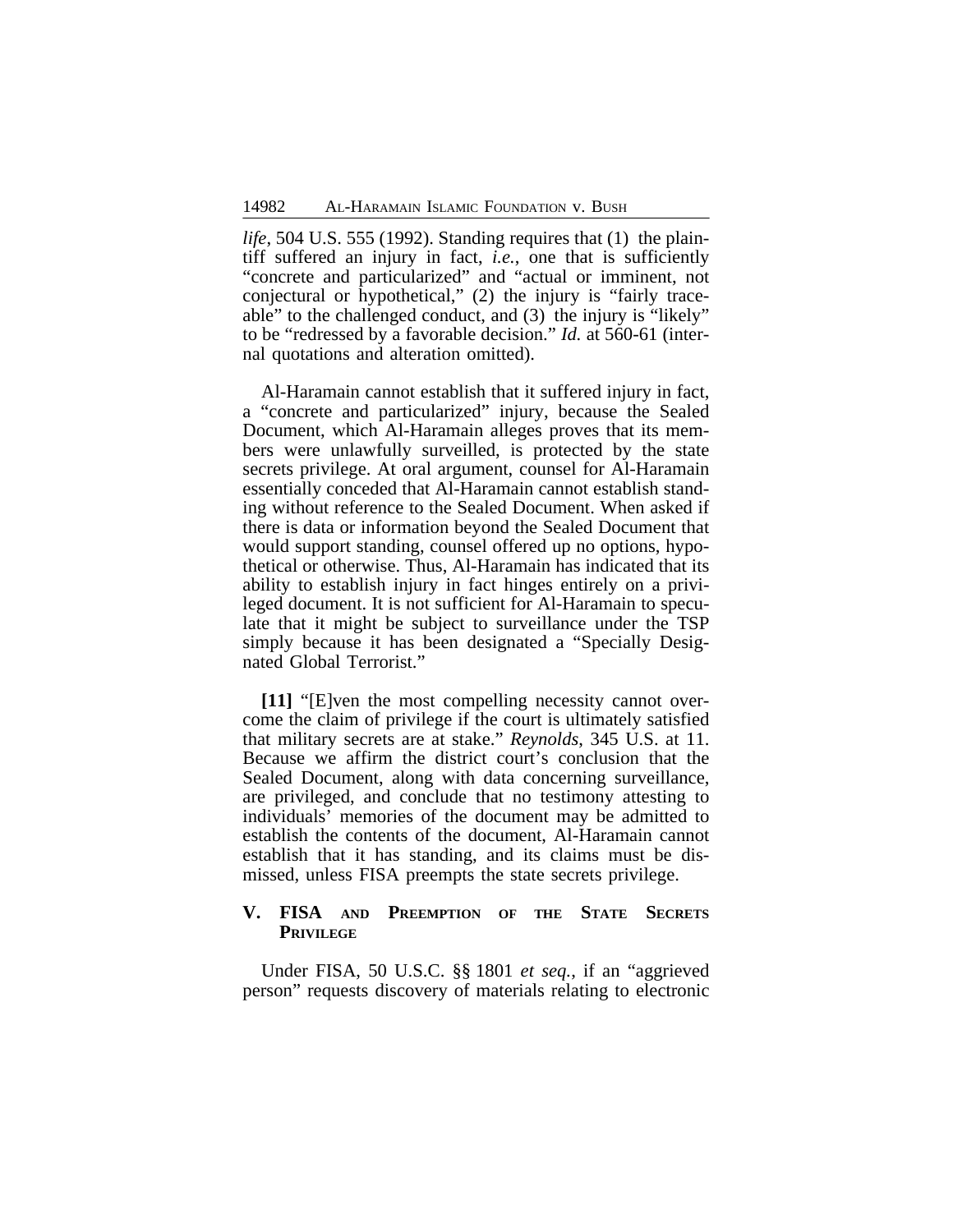*life*, 504 U.S. 555 (1992). Standing requires that (1) the plaintiff suffered an injury in fact, *i.e.*, one that is sufficiently "concrete and particularized" and "actual or imminent, not conjectural or hypothetical," (2) the injury is "fairly traceable" to the challenged conduct, and (3) the injury is "likely" to be "redressed by a favorable decision." *Id.* at 560-61 (internal quotations and alteration omitted).

Al-Haramain cannot establish that it suffered injury in fact, a "concrete and particularized" injury, because the Sealed Document, which Al-Haramain alleges proves that its members were unlawfully surveilled, is protected by the state secrets privilege. At oral argument, counsel for Al-Haramain essentially conceded that Al-Haramain cannot establish standing without reference to the Sealed Document. When asked if there is data or information beyond the Sealed Document that would support standing, counsel offered up no options, hypothetical or otherwise. Thus, Al-Haramain has indicated that its ability to establish injury in fact hinges entirely on a privileged document. It is not sufficient for Al-Haramain to speculate that it might be subject to surveillance under the TSP simply because it has been designated a "Specially Designated Global Terrorist."

**[11]** "[E]ven the most compelling necessity cannot overcome the claim of privilege if the court is ultimately satisfied that military secrets are at stake." *Reynolds*, 345 U.S. at 11. Because we affirm the district court's conclusion that the Sealed Document, along with data concerning surveillance, are privileged, and conclude that no testimony attesting to individuals' memories of the document may be admitted to establish the contents of the document, Al-Haramain cannot establish that it has standing, and its claims must be dismissed, unless FISA preempts the state secrets privilege.

#### **V. FISA AND PREEMPTION OF THE STATE SECRETS PRIVILEGE**

Under FISA, 50 U.S.C. §§ 1801 *et seq.*, if an "aggrieved person" requests discovery of materials relating to electronic